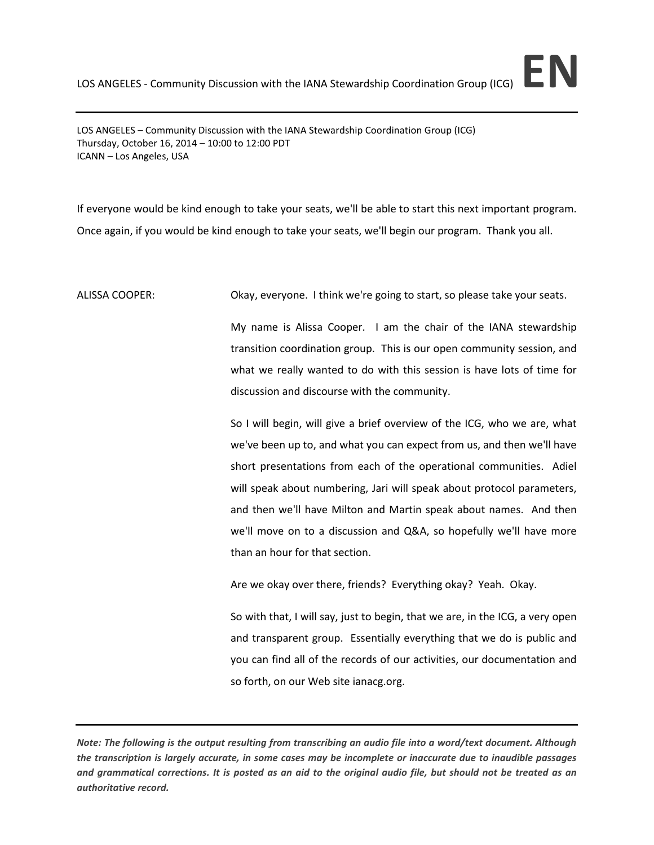LOS ANGELES – Community Discussion with the IANA Stewardship Coordination Group (ICG) Thursday, October 16, 2014 – 10:00 to 12:00 PDT ICANN – Los Angeles, USA

If everyone would be kind enough to take your seats, we'll be able to start this next important program. Once again, if you would be kind enough to take your seats, we'll begin our program. Thank you all.

ALISSA COOPER: Okay, everyone. I think we're going to start, so please take your seats.

My name is Alissa Cooper. I am the chair of the IANA stewardship transition coordination group. This is our open community session, and what we really wanted to do with this session is have lots of time for discussion and discourse with the community.

So I will begin, will give a brief overview of the ICG, who we are, what we've been up to, and what you can expect from us, and then we'll have short presentations from each of the operational communities. Adiel will speak about numbering, Jari will speak about protocol parameters, and then we'll have Milton and Martin speak about names. And then we'll move on to a discussion and Q&A, so hopefully we'll have more than an hour for that section.

Are we okay over there, friends? Everything okay? Yeah. Okay.

So with that, I will say, just to begin, that we are, in the ICG, a very open and transparent group. Essentially everything that we do is public and you can find all of the records of our activities, our documentation and so forth, on our Web site ianacg.org.

*Note: The following is the output resulting from transcribing an audio file into a word/text document. Although the transcription is largely accurate, in some cases may be incomplete or inaccurate due to inaudible passages and grammatical corrections. It is posted as an aid to the original audio file, but should not be treated as an authoritative record.*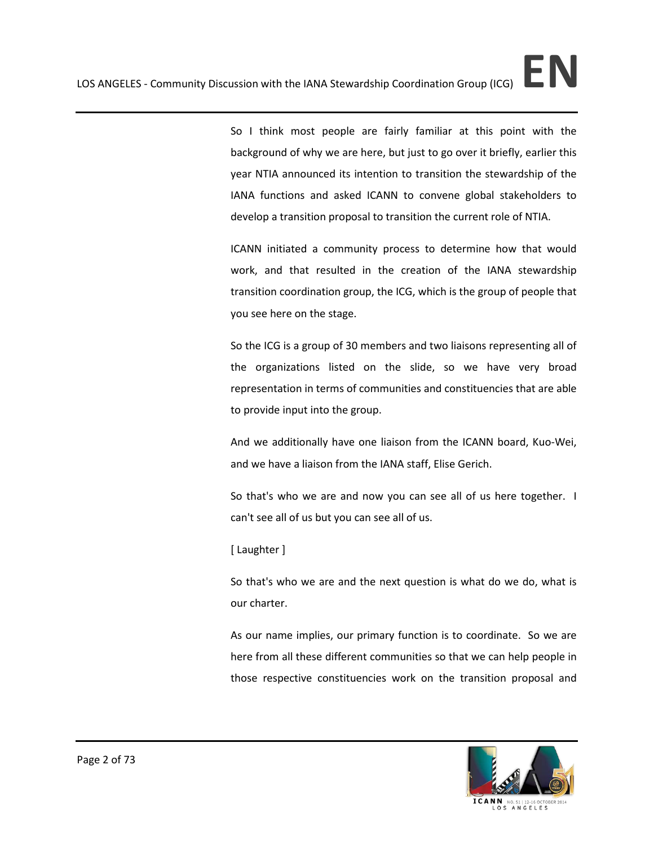So I think most people are fairly familiar at this point with the background of why we are here, but just to go over it briefly, earlier this year NTIA announced its intention to transition the stewardship of the IANA functions and asked ICANN to convene global stakeholders to develop a transition proposal to transition the current role of NTIA.

ICANN initiated a community process to determine how that would work, and that resulted in the creation of the IANA stewardship transition coordination group, the ICG, which is the group of people that you see here on the stage.

So the ICG is a group of 30 members and two liaisons representing all of the organizations listed on the slide, so we have very broad representation in terms of communities and constituencies that are able to provide input into the group.

And we additionally have one liaison from the ICANN board, Kuo-Wei, and we have a liaison from the IANA staff, Elise Gerich.

So that's who we are and now you can see all of us here together. I can't see all of us but you can see all of us.

## [ Laughter ]

So that's who we are and the next question is what do we do, what is our charter.

As our name implies, our primary function is to coordinate. So we are here from all these different communities so that we can help people in those respective constituencies work on the transition proposal and

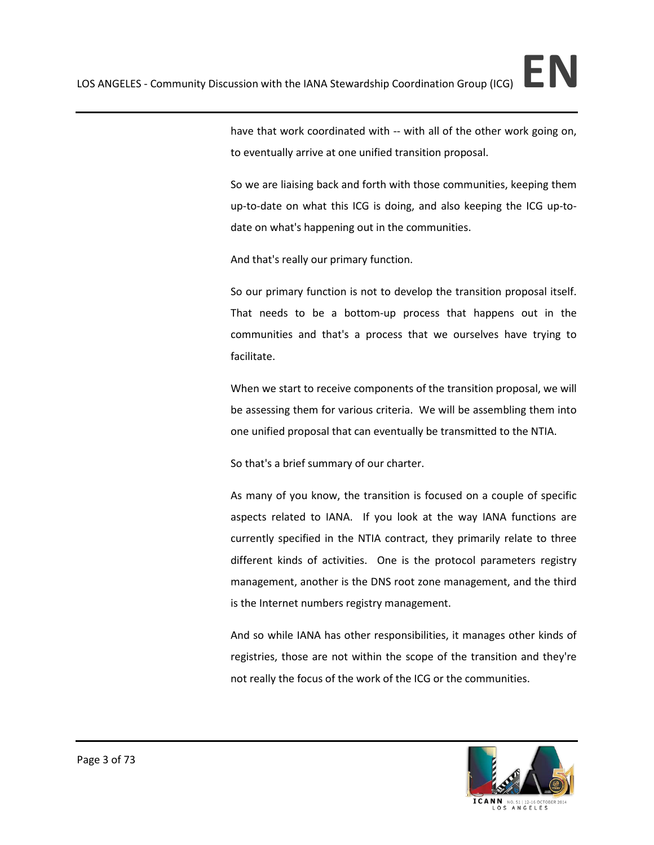So we are liaising back and forth with those communities, keeping them up-to-date on what this ICG is doing, and also keeping the ICG up-todate on what's happening out in the communities.

And that's really our primary function.

So our primary function is not to develop the transition proposal itself. That needs to be a bottom-up process that happens out in the communities and that's a process that we ourselves have trying to facilitate.

When we start to receive components of the transition proposal, we will be assessing them for various criteria. We will be assembling them into one unified proposal that can eventually be transmitted to the NTIA.

So that's a brief summary of our charter.

As many of you know, the transition is focused on a couple of specific aspects related to IANA. If you look at the way IANA functions are currently specified in the NTIA contract, they primarily relate to three different kinds of activities. One is the protocol parameters registry management, another is the DNS root zone management, and the third is the Internet numbers registry management.

And so while IANA has other responsibilities, it manages other kinds of registries, those are not within the scope of the transition and they're not really the focus of the work of the ICG or the communities.

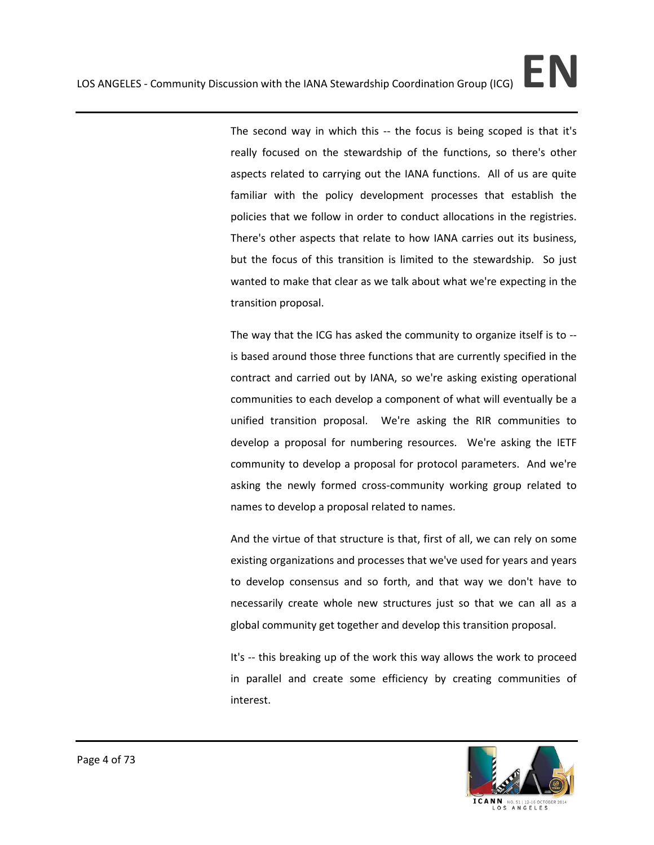The second way in which this -- the focus is being scoped is that it's really focused on the stewardship of the functions, so there's other aspects related to carrying out the IANA functions. All of us are quite familiar with the policy development processes that establish the policies that we follow in order to conduct allocations in the registries. There's other aspects that relate to how IANA carries out its business, but the focus of this transition is limited to the stewardship. So just wanted to make that clear as we talk about what we're expecting in the transition proposal.

The way that the ICG has asked the community to organize itself is to - is based around those three functions that are currently specified in the contract and carried out by IANA, so we're asking existing operational communities to each develop a component of what will eventually be a unified transition proposal. We're asking the RIR communities to develop a proposal for numbering resources. We're asking the IETF community to develop a proposal for protocol parameters. And we're asking the newly formed cross-community working group related to names to develop a proposal related to names.

And the virtue of that structure is that, first of all, we can rely on some existing organizations and processes that we've used for years and years to develop consensus and so forth, and that way we don't have to necessarily create whole new structures just so that we can all as a global community get together and develop this transition proposal.

It's -- this breaking up of the work this way allows the work to proceed in parallel and create some efficiency by creating communities of interest.

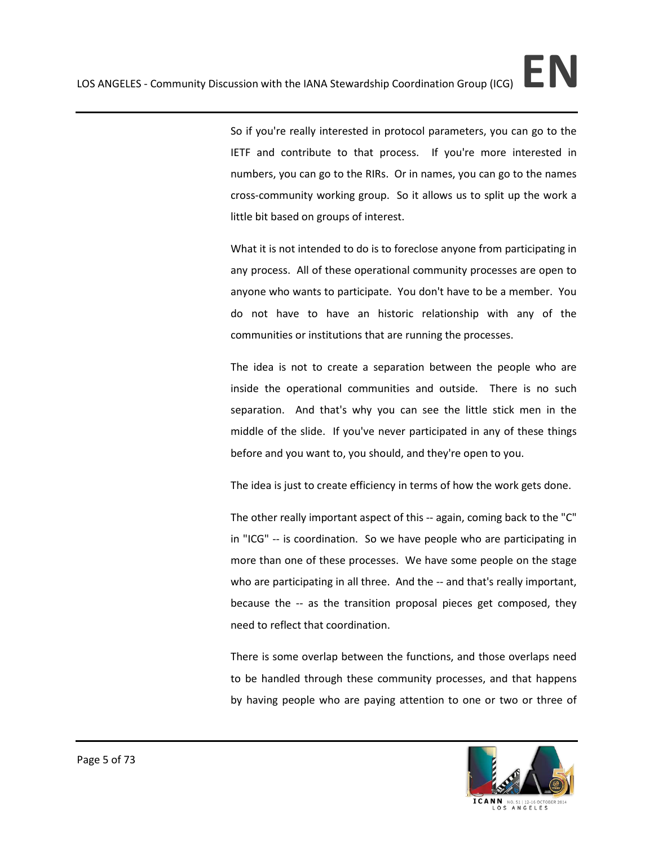So if you're really interested in protocol parameters, you can go to the IETF and contribute to that process. If you're more interested in numbers, you can go to the RIRs. Or in names, you can go to the names cross-community working group. So it allows us to split up the work a little bit based on groups of interest.

What it is not intended to do is to foreclose anyone from participating in any process. All of these operational community processes are open to anyone who wants to participate. You don't have to be a member. You do not have to have an historic relationship with any of the communities or institutions that are running the processes.

The idea is not to create a separation between the people who are inside the operational communities and outside. There is no such separation. And that's why you can see the little stick men in the middle of the slide. If you've never participated in any of these things before and you want to, you should, and they're open to you.

The idea is just to create efficiency in terms of how the work gets done.

The other really important aspect of this -- again, coming back to the "C" in "ICG" -- is coordination. So we have people who are participating in more than one of these processes. We have some people on the stage who are participating in all three. And the -- and that's really important, because the -- as the transition proposal pieces get composed, they need to reflect that coordination.

There is some overlap between the functions, and those overlaps need to be handled through these community processes, and that happens by having people who are paying attention to one or two or three of

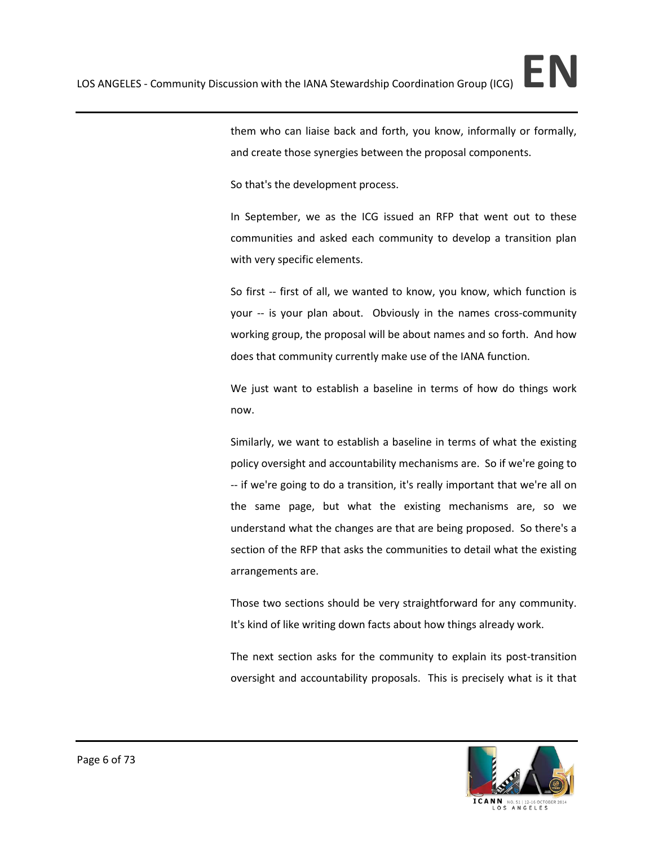them who can liaise back and forth, you know, informally or formally, and create those synergies between the proposal components.

So that's the development process.

In September, we as the ICG issued an RFP that went out to these communities and asked each community to develop a transition plan with very specific elements.

So first -- first of all, we wanted to know, you know, which function is your -- is your plan about. Obviously in the names cross-community working group, the proposal will be about names and so forth. And how does that community currently make use of the IANA function.

We just want to establish a baseline in terms of how do things work now.

Similarly, we want to establish a baseline in terms of what the existing policy oversight and accountability mechanisms are. So if we're going to -- if we're going to do a transition, it's really important that we're all on the same page, but what the existing mechanisms are, so we understand what the changes are that are being proposed. So there's a section of the RFP that asks the communities to detail what the existing arrangements are.

Those two sections should be very straightforward for any community. It's kind of like writing down facts about how things already work.

The next section asks for the community to explain its post-transition oversight and accountability proposals. This is precisely what is it that

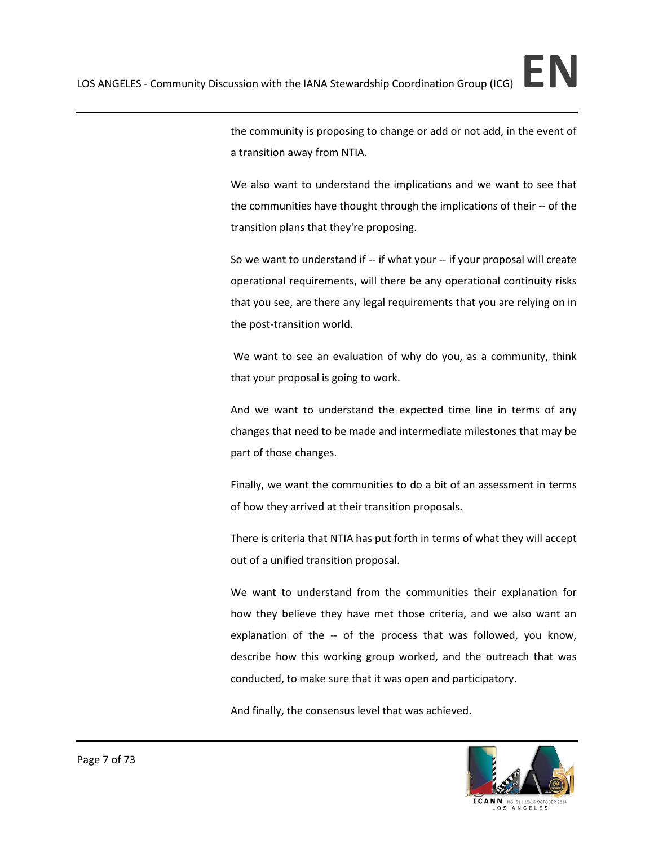the community is proposing to change or add or not add, in the event of a transition away from NTIA.

We also want to understand the implications and we want to see that the communities have thought through the implications of their -- of the transition plans that they're proposing.

So we want to understand if -- if what your -- if your proposal will create operational requirements, will there be any operational continuity risks that you see, are there any legal requirements that you are relying on in the post-transition world.

We want to see an evaluation of why do you, as a community, think that your proposal is going to work.

And we want to understand the expected time line in terms of any changes that need to be made and intermediate milestones that may be part of those changes.

Finally, we want the communities to do a bit of an assessment in terms of how they arrived at their transition proposals.

There is criteria that NTIA has put forth in terms of what they will accept out of a unified transition proposal.

We want to understand from the communities their explanation for how they believe they have met those criteria, and we also want an explanation of the -- of the process that was followed, you know, describe how this working group worked, and the outreach that was conducted, to make sure that it was open and participatory.

And finally, the consensus level that was achieved.

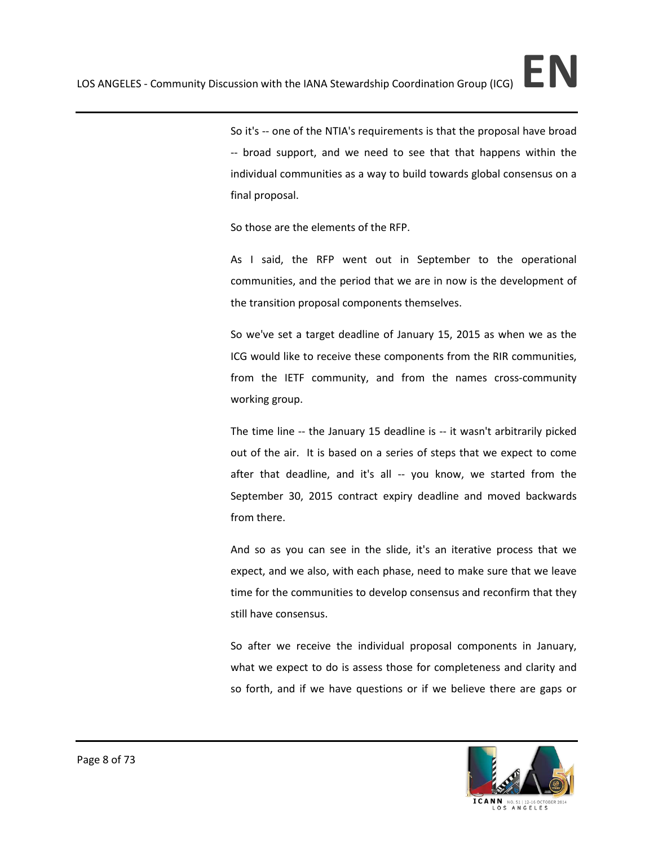So it's -- one of the NTIA's requirements is that the proposal have broad -- broad support, and we need to see that that happens within the individual communities as a way to build towards global consensus on a final proposal.

So those are the elements of the RFP.

As I said, the RFP went out in September to the operational communities, and the period that we are in now is the development of the transition proposal components themselves.

So we've set a target deadline of January 15, 2015 as when we as the ICG would like to receive these components from the RIR communities, from the IETF community, and from the names cross-community working group.

The time line -- the January 15 deadline is -- it wasn't arbitrarily picked out of the air. It is based on a series of steps that we expect to come after that deadline, and it's all -- you know, we started from the September 30, 2015 contract expiry deadline and moved backwards from there.

And so as you can see in the slide, it's an iterative process that we expect, and we also, with each phase, need to make sure that we leave time for the communities to develop consensus and reconfirm that they still have consensus.

So after we receive the individual proposal components in January, what we expect to do is assess those for completeness and clarity and so forth, and if we have questions or if we believe there are gaps or

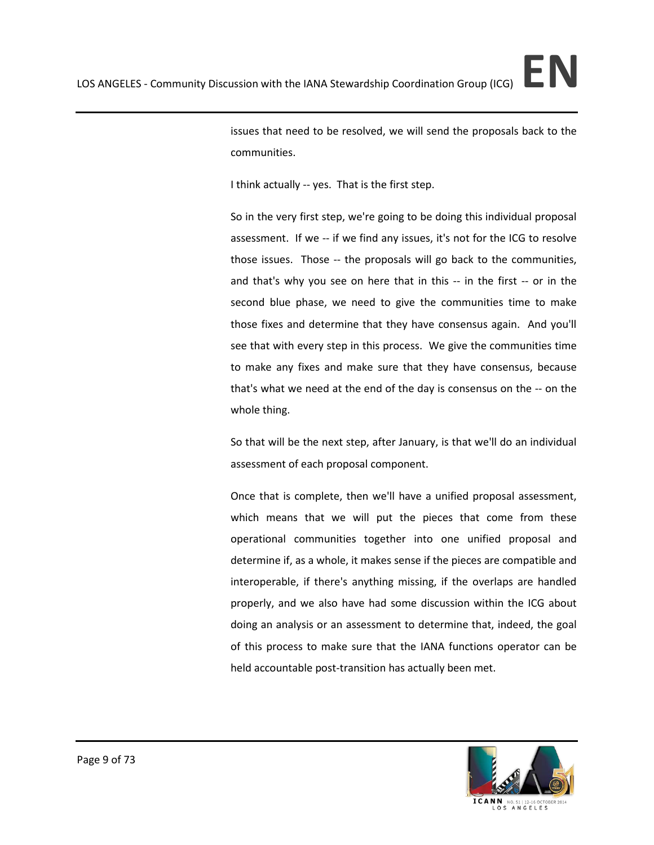issues that need to be resolved, we will send the proposals back to the communities.

I think actually -- yes. That is the first step.

So in the very first step, we're going to be doing this individual proposal assessment. If we -- if we find any issues, it's not for the ICG to resolve those issues. Those -- the proposals will go back to the communities, and that's why you see on here that in this -- in the first -- or in the second blue phase, we need to give the communities time to make those fixes and determine that they have consensus again. And you'll see that with every step in this process. We give the communities time to make any fixes and make sure that they have consensus, because that's what we need at the end of the day is consensus on the -- on the whole thing.

So that will be the next step, after January, is that we'll do an individual assessment of each proposal component.

Once that is complete, then we'll have a unified proposal assessment, which means that we will put the pieces that come from these operational communities together into one unified proposal and determine if, as a whole, it makes sense if the pieces are compatible and interoperable, if there's anything missing, if the overlaps are handled properly, and we also have had some discussion within the ICG about doing an analysis or an assessment to determine that, indeed, the goal of this process to make sure that the IANA functions operator can be held accountable post-transition has actually been met.

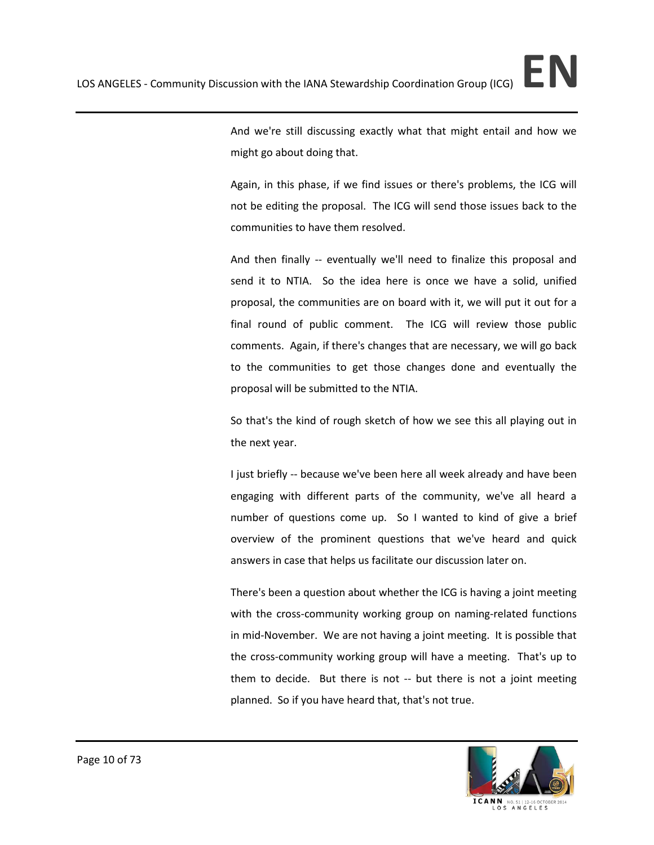And we're still discussing exactly what that might entail and how we might go about doing that.

Again, in this phase, if we find issues or there's problems, the ICG will not be editing the proposal. The ICG will send those issues back to the communities to have them resolved.

And then finally -- eventually we'll need to finalize this proposal and send it to NTIA. So the idea here is once we have a solid, unified proposal, the communities are on board with it, we will put it out for a final round of public comment. The ICG will review those public comments. Again, if there's changes that are necessary, we will go back to the communities to get those changes done and eventually the proposal will be submitted to the NTIA.

So that's the kind of rough sketch of how we see this all playing out in the next year.

I just briefly -- because we've been here all week already and have been engaging with different parts of the community, we've all heard a number of questions come up. So I wanted to kind of give a brief overview of the prominent questions that we've heard and quick answers in case that helps us facilitate our discussion later on.

There's been a question about whether the ICG is having a joint meeting with the cross-community working group on naming-related functions in mid-November. We are not having a joint meeting. It is possible that the cross-community working group will have a meeting. That's up to them to decide. But there is not -- but there is not a joint meeting planned. So if you have heard that, that's not true.

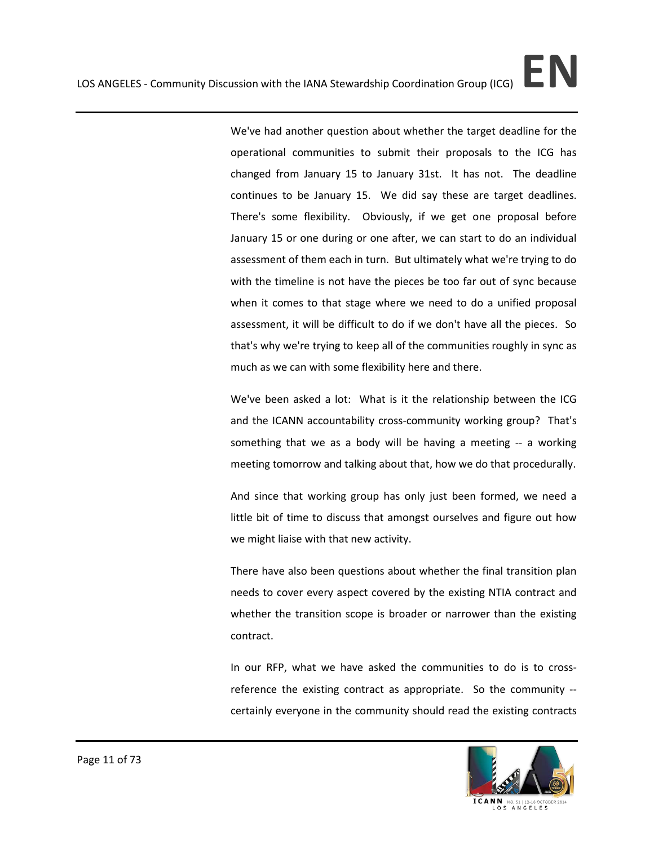We've had another question about whether the target deadline for the operational communities to submit their proposals to the ICG has changed from January 15 to January 31st. It has not. The deadline continues to be January 15. We did say these are target deadlines. There's some flexibility. Obviously, if we get one proposal before January 15 or one during or one after, we can start to do an individual assessment of them each in turn. But ultimately what we're trying to do with the timeline is not have the pieces be too far out of sync because when it comes to that stage where we need to do a unified proposal assessment, it will be difficult to do if we don't have all the pieces. So that's why we're trying to keep all of the communities roughly in sync as much as we can with some flexibility here and there.

We've been asked a lot: What is it the relationship between the ICG and the ICANN accountability cross-community working group? That's something that we as a body will be having a meeting -- a working meeting tomorrow and talking about that, how we do that procedurally.

And since that working group has only just been formed, we need a little bit of time to discuss that amongst ourselves and figure out how we might liaise with that new activity.

There have also been questions about whether the final transition plan needs to cover every aspect covered by the existing NTIA contract and whether the transition scope is broader or narrower than the existing contract.

In our RFP, what we have asked the communities to do is to crossreference the existing contract as appropriate. So the community - certainly everyone in the community should read the existing contracts

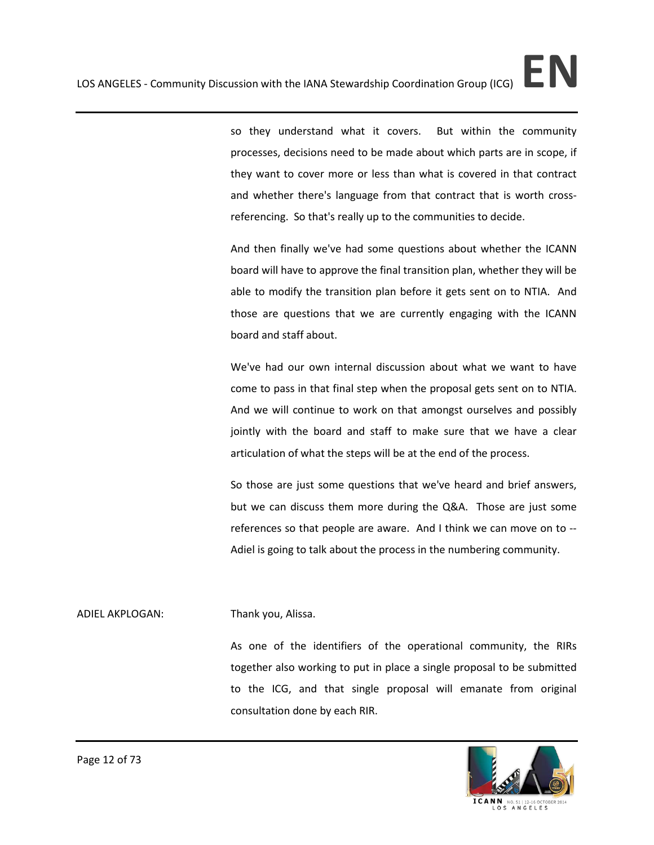so they understand what it covers. But within the community processes, decisions need to be made about which parts are in scope, if they want to cover more or less than what is covered in that contract and whether there's language from that contract that is worth crossreferencing. So that's really up to the communities to decide.

And then finally we've had some questions about whether the ICANN board will have to approve the final transition plan, whether they will be able to modify the transition plan before it gets sent on to NTIA. And those are questions that we are currently engaging with the ICANN board and staff about.

We've had our own internal discussion about what we want to have come to pass in that final step when the proposal gets sent on to NTIA. And we will continue to work on that amongst ourselves and possibly jointly with the board and staff to make sure that we have a clear articulation of what the steps will be at the end of the process.

So those are just some questions that we've heard and brief answers, but we can discuss them more during the Q&A. Those are just some references so that people are aware. And I think we can move on to -- Adiel is going to talk about the process in the numbering community.

## ADIEL AKPLOGAN: Thank you, Alissa.

As one of the identifiers of the operational community, the RIRs together also working to put in place a single proposal to be submitted to the ICG, and that single proposal will emanate from original consultation done by each RIR.

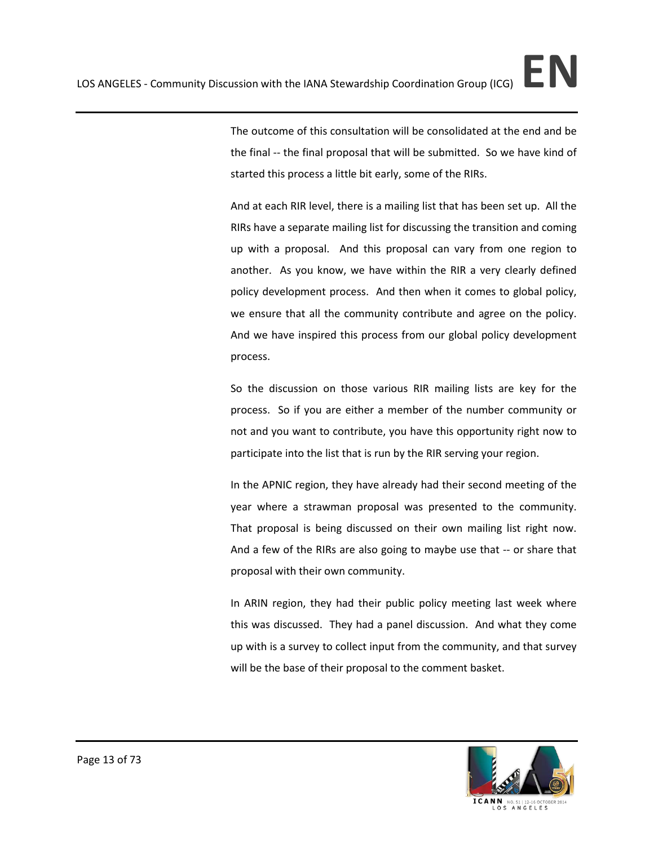The outcome of this consultation will be consolidated at the end and be the final -- the final proposal that will be submitted. So we have kind of started this process a little bit early, some of the RIRs.

And at each RIR level, there is a mailing list that has been set up. All the RIRs have a separate mailing list for discussing the transition and coming up with a proposal. And this proposal can vary from one region to another. As you know, we have within the RIR a very clearly defined policy development process. And then when it comes to global policy, we ensure that all the community contribute and agree on the policy. And we have inspired this process from our global policy development process.

So the discussion on those various RIR mailing lists are key for the process. So if you are either a member of the number community or not and you want to contribute, you have this opportunity right now to participate into the list that is run by the RIR serving your region.

In the APNIC region, they have already had their second meeting of the year where a strawman proposal was presented to the community. That proposal is being discussed on their own mailing list right now. And a few of the RIRs are also going to maybe use that -- or share that proposal with their own community.

In ARIN region, they had their public policy meeting last week where this was discussed. They had a panel discussion. And what they come up with is a survey to collect input from the community, and that survey will be the base of their proposal to the comment basket.

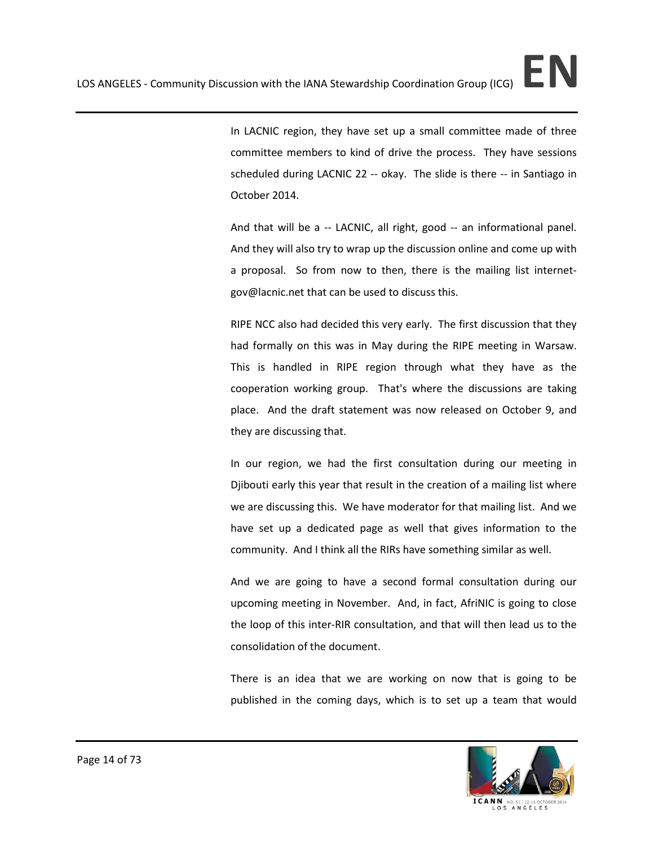In LACNIC region, they have set up a small committee made of three committee members to kind of drive the process. They have sessions scheduled during LACNIC 22 -- okay. The slide is there -- in Santiago in October 2014.

And that will be a -- LACNIC, all right, good -- an informational panel. And they will also try to wrap up the discussion online and come up with a proposal. So from now to then, there is the mailing list internetgov@lacnic.net that can be used to discuss this.

RIPE NCC also had decided this very early. The first discussion that they had formally on this was in May during the RIPE meeting in Warsaw. This is handled in RIPE region through what they have as the cooperation working group. That's where the discussions are taking place. And the draft statement was now released on October 9, and they are discussing that.

In our region, we had the first consultation during our meeting in Djibouti early this year that result in the creation of a mailing list where we are discussing this. We have moderator for that mailing list. And we have set up a dedicated page as well that gives information to the community. And I think all the RIRs have something similar as well.

And we are going to have a second formal consultation during our upcoming meeting in November. And, in fact, AfriNIC is going to close the loop of this inter-RIR consultation, and that will then lead us to the consolidation of the document.

There is an idea that we are working on now that is going to be published in the coming days, which is to set up a team that would

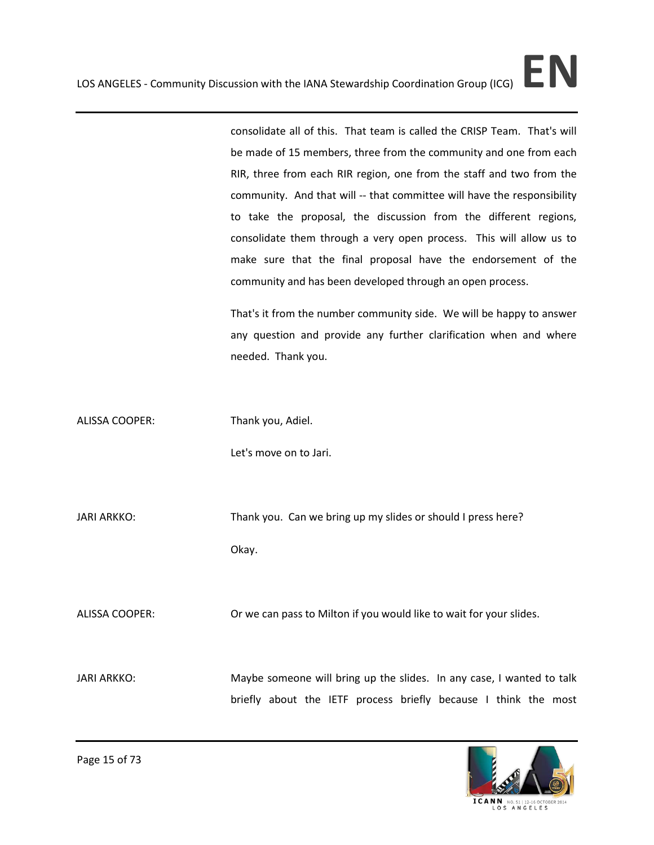consolidate all of this. That team is called the CRISP Team. That's will be made of 15 members, three from the community and one from each RIR, three from each RIR region, one from the staff and two from the community. And that will -- that committee will have the responsibility to take the proposal, the discussion from the different regions, consolidate them through a very open process. This will allow us to make sure that the final proposal have the endorsement of the community and has been developed through an open process.

That's it from the number community side. We will be happy to answer any question and provide any further clarification when and where needed. Thank you.

ALISSA COOPER: Thank you, Adiel.

Let's move on to Jari.

JARI ARKKO: Thank you. Can we bring up my slides or should I press here? Okay.

ALISSA COOPER: Or we can pass to Milton if you would like to wait for your slides.

JARI ARKKO: Maybe someone will bring up the slides. In any case, I wanted to talk briefly about the IETF process briefly because I think the most

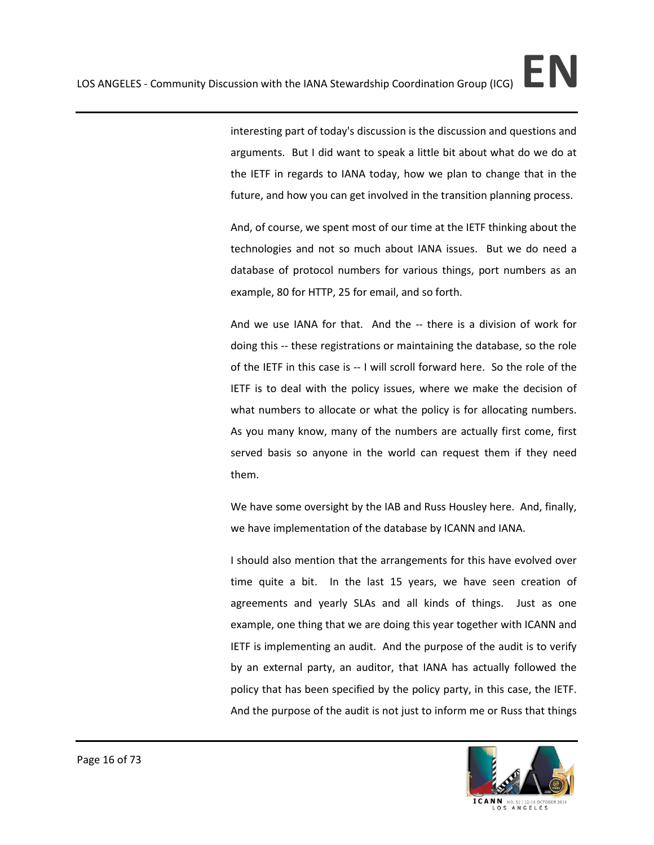interesting part of today's discussion is the discussion and questions and arguments. But I did want to speak a little bit about what do we do at the IETF in regards to IANA today, how we plan to change that in the future, and how you can get involved in the transition planning process.

And, of course, we spent most of our time at the IETF thinking about the technologies and not so much about IANA issues. But we do need a database of protocol numbers for various things, port numbers as an example, 80 for HTTP, 25 for email, and so forth.

And we use IANA for that. And the -- there is a division of work for doing this -- these registrations or maintaining the database, so the role of the IETF in this case is -- I will scroll forward here. So the role of the IETF is to deal with the policy issues, where we make the decision of what numbers to allocate or what the policy is for allocating numbers. As you many know, many of the numbers are actually first come, first served basis so anyone in the world can request them if they need them.

We have some oversight by the IAB and Russ Housley here. And, finally, we have implementation of the database by ICANN and IANA.

I should also mention that the arrangements for this have evolved over time quite a bit. In the last 15 years, we have seen creation of agreements and yearly SLAs and all kinds of things. Just as one example, one thing that we are doing this year together with ICANN and IETF is implementing an audit. And the purpose of the audit is to verify by an external party, an auditor, that IANA has actually followed the policy that has been specified by the policy party, in this case, the IETF. And the purpose of the audit is not just to inform me or Russ that things



ICANN NO. OS ANGELES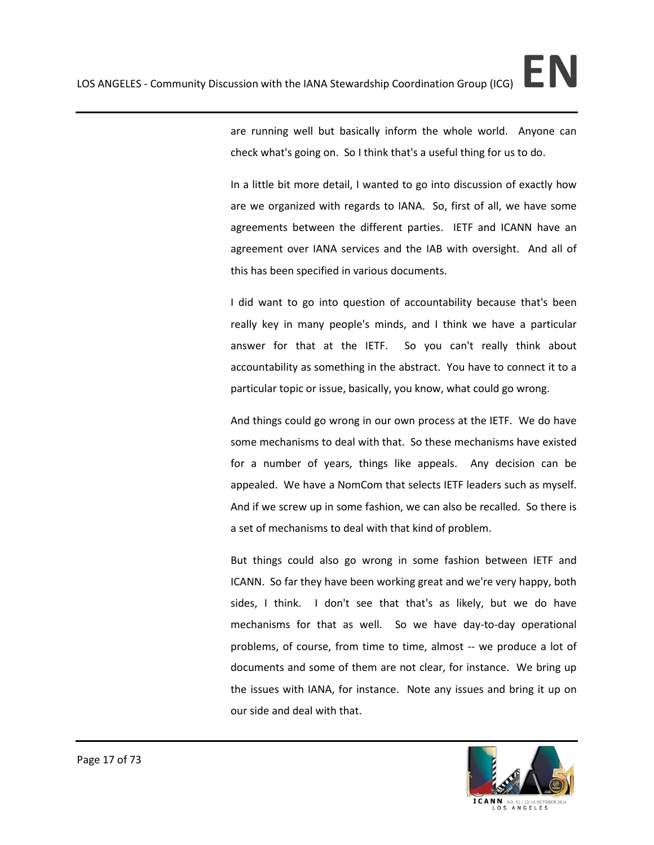In a little bit more detail, I wanted to go into discussion of exactly how are we organized with regards to IANA. So, first of all, we have some agreements between the different parties. IETF and ICANN have an agreement over IANA services and the IAB with oversight. And all of this has been specified in various documents.

I did want to go into question of accountability because that's been really key in many people's minds, and I think we have a particular answer for that at the IETF. So you can't really think about accountability as something in the abstract. You have to connect it to a particular topic or issue, basically, you know, what could go wrong.

And things could go wrong in our own process at the IETF. We do have some mechanisms to deal with that. So these mechanisms have existed for a number of years, things like appeals. Any decision can be appealed. We have a NomCom that selects IETF leaders such as myself. And if we screw up in some fashion, we can also be recalled. So there is a set of mechanisms to deal with that kind of problem.

But things could also go wrong in some fashion between IETF and ICANN. So far they have been working great and we're very happy, both sides, I think. I don't see that that's as likely, but we do have mechanisms for that as well. So we have day-to-day operational problems, of course, from time to time, almost -- we produce a lot of documents and some of them are not clear, for instance. We bring up the issues with IANA, for instance. Note any issues and bring it up on our side and deal with that.

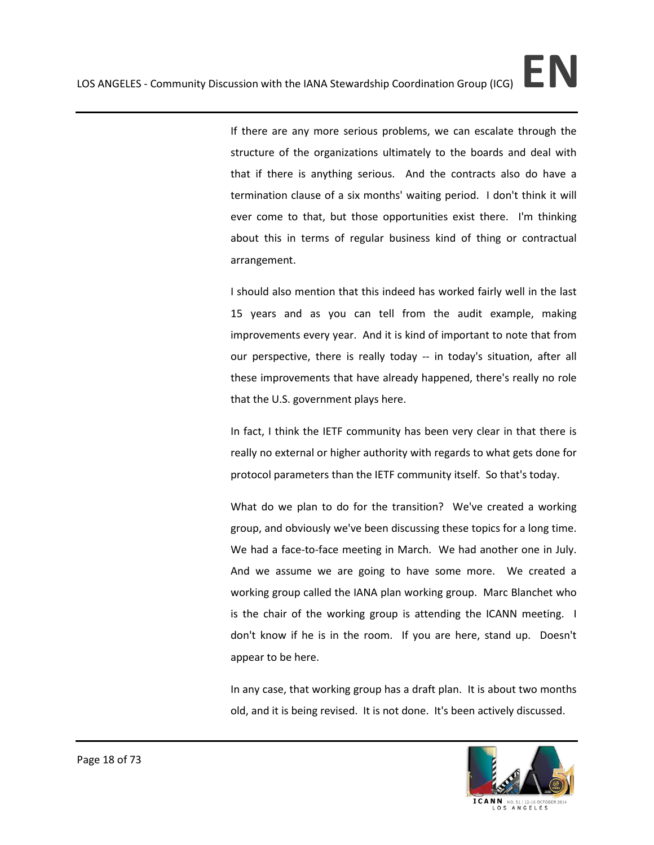If there are any more serious problems, we can escalate through the structure of the organizations ultimately to the boards and deal with that if there is anything serious. And the contracts also do have a termination clause of a six months' waiting period. I don't think it will ever come to that, but those opportunities exist there. I'm thinking about this in terms of regular business kind of thing or contractual arrangement.

I should also mention that this indeed has worked fairly well in the last 15 years and as you can tell from the audit example, making improvements every year. And it is kind of important to note that from our perspective, there is really today -- in today's situation, after all these improvements that have already happened, there's really no role that the U.S. government plays here.

In fact, I think the IETF community has been very clear in that there is really no external or higher authority with regards to what gets done for protocol parameters than the IETF community itself. So that's today.

What do we plan to do for the transition? We've created a working group, and obviously we've been discussing these topics for a long time. We had a face-to-face meeting in March. We had another one in July. And we assume we are going to have some more. We created a working group called the IANA plan working group. Marc Blanchet who is the chair of the working group is attending the ICANN meeting. I don't know if he is in the room. If you are here, stand up. Doesn't appear to be here.

In any case, that working group has a draft plan. It is about two months old, and it is being revised. It is not done. It's been actively discussed.

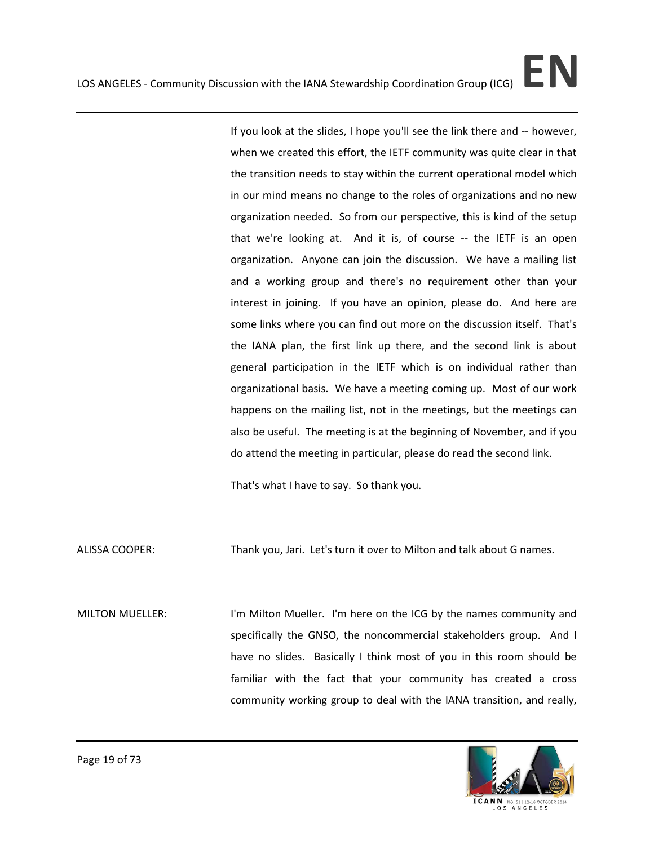If you look at the slides, I hope you'll see the link there and -- however, when we created this effort, the IETF community was quite clear in that the transition needs to stay within the current operational model which in our mind means no change to the roles of organizations and no new organization needed. So from our perspective, this is kind of the setup that we're looking at. And it is, of course -- the IETF is an open organization. Anyone can join the discussion. We have a mailing list and a working group and there's no requirement other than your interest in joining. If you have an opinion, please do. And here are some links where you can find out more on the discussion itself. That's the IANA plan, the first link up there, and the second link is about general participation in the IETF which is on individual rather than organizational basis. We have a meeting coming up. Most of our work happens on the mailing list, not in the meetings, but the meetings can also be useful. The meeting is at the beginning of November, and if you do attend the meeting in particular, please do read the second link.

That's what I have to say. So thank you.

ALISSA COOPER: Thank you, Jari. Let's turn it over to Milton and talk about G names.

MILTON MUELLER: I'm Milton Mueller. I'm here on the ICG by the names community and specifically the GNSO, the noncommercial stakeholders group. And I have no slides. Basically I think most of you in this room should be familiar with the fact that your community has created a cross community working group to deal with the IANA transition, and really,

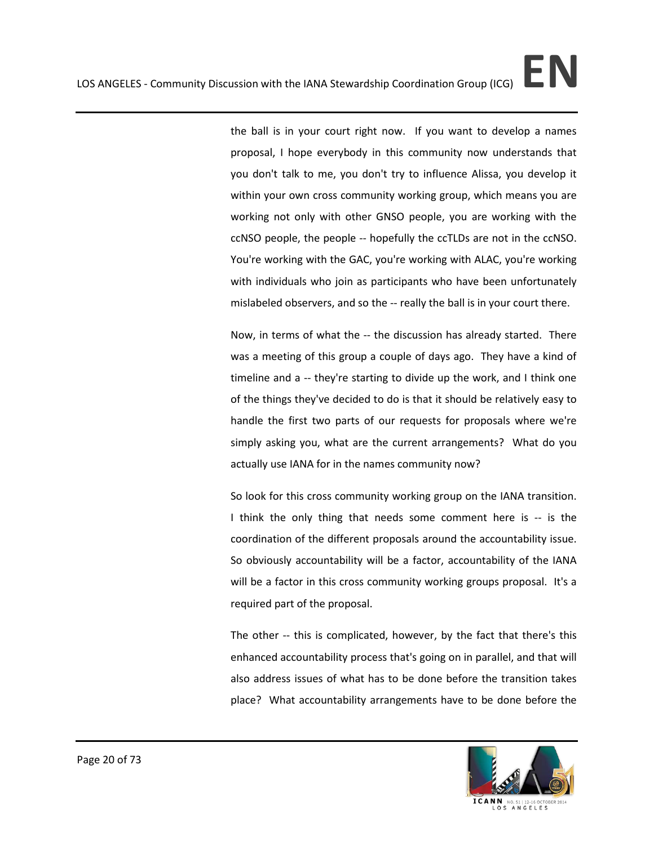the ball is in your court right now. If you want to develop a names proposal, I hope everybody in this community now understands that you don't talk to me, you don't try to influence Alissa, you develop it within your own cross community working group, which means you are working not only with other GNSO people, you are working with the ccNSO people, the people -- hopefully the ccTLDs are not in the ccNSO. You're working with the GAC, you're working with ALAC, you're working with individuals who join as participants who have been unfortunately mislabeled observers, and so the -- really the ball is in your court there.

Now, in terms of what the -- the discussion has already started. There was a meeting of this group a couple of days ago. They have a kind of timeline and a -- they're starting to divide up the work, and I think one of the things they've decided to do is that it should be relatively easy to handle the first two parts of our requests for proposals where we're simply asking you, what are the current arrangements? What do you actually use IANA for in the names community now?

So look for this cross community working group on the IANA transition. I think the only thing that needs some comment here is -- is the coordination of the different proposals around the accountability issue. So obviously accountability will be a factor, accountability of the IANA will be a factor in this cross community working groups proposal. It's a required part of the proposal.

The other -- this is complicated, however, by the fact that there's this enhanced accountability process that's going on in parallel, and that will also address issues of what has to be done before the transition takes place? What accountability arrangements have to be done before the

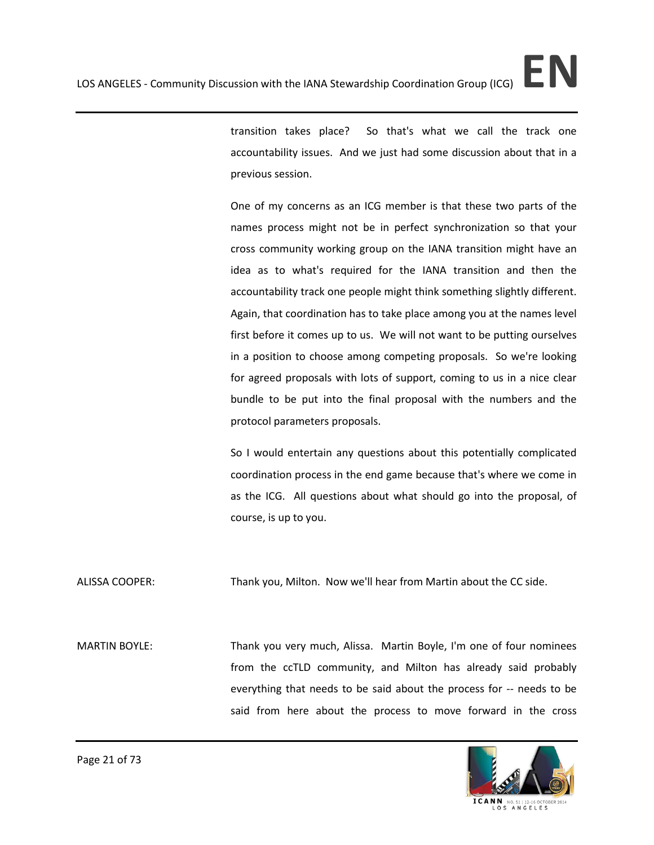transition takes place? So that's what we call the track one accountability issues. And we just had some discussion about that in a previous session.

One of my concerns as an ICG member is that these two parts of the names process might not be in perfect synchronization so that your cross community working group on the IANA transition might have an idea as to what's required for the IANA transition and then the accountability track one people might think something slightly different. Again, that coordination has to take place among you at the names level first before it comes up to us. We will not want to be putting ourselves in a position to choose among competing proposals. So we're looking for agreed proposals with lots of support, coming to us in a nice clear bundle to be put into the final proposal with the numbers and the protocol parameters proposals.

So I would entertain any questions about this potentially complicated coordination process in the end game because that's where we come in as the ICG. All questions about what should go into the proposal, of course, is up to you.

ALISSA COOPER: Thank you, Milton. Now we'll hear from Martin about the CC side.

MARTIN BOYLE: Thank you very much, Alissa. Martin Boyle, I'm one of four nominees from the ccTLD community, and Milton has already said probably everything that needs to be said about the process for -- needs to be said from here about the process to move forward in the cross

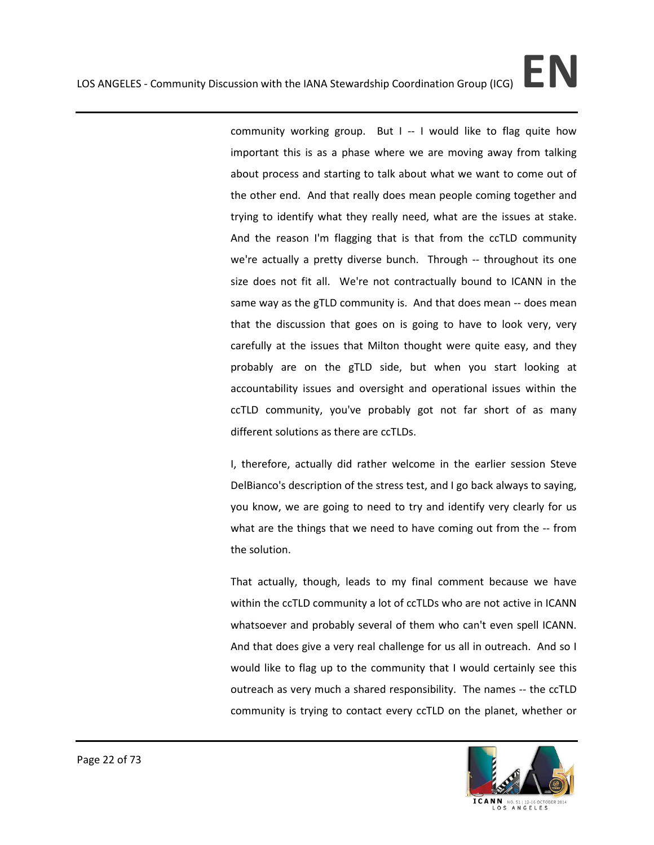community working group. But I -- I would like to flag quite how important this is as a phase where we are moving away from talking about process and starting to talk about what we want to come out of the other end. And that really does mean people coming together and trying to identify what they really need, what are the issues at stake. And the reason I'm flagging that is that from the ccTLD community we're actually a pretty diverse bunch. Through -- throughout its one size does not fit all. We're not contractually bound to ICANN in the same way as the gTLD community is. And that does mean -- does mean that the discussion that goes on is going to have to look very, very carefully at the issues that Milton thought were quite easy, and they probably are on the gTLD side, but when you start looking at accountability issues and oversight and operational issues within the ccTLD community, you've probably got not far short of as many different solutions as there are ccTLDs.

I, therefore, actually did rather welcome in the earlier session Steve DelBianco's description of the stress test, and I go back always to saying, you know, we are going to need to try and identify very clearly for us what are the things that we need to have coming out from the -- from the solution.

That actually, though, leads to my final comment because we have within the ccTLD community a lot of ccTLDs who are not active in ICANN whatsoever and probably several of them who can't even spell ICANN. And that does give a very real challenge for us all in outreach. And so I would like to flag up to the community that I would certainly see this outreach as very much a shared responsibility. The names -- the ccTLD community is trying to contact every ccTLD on the planet, whether or



ICANN NO.51|12-16 OCTO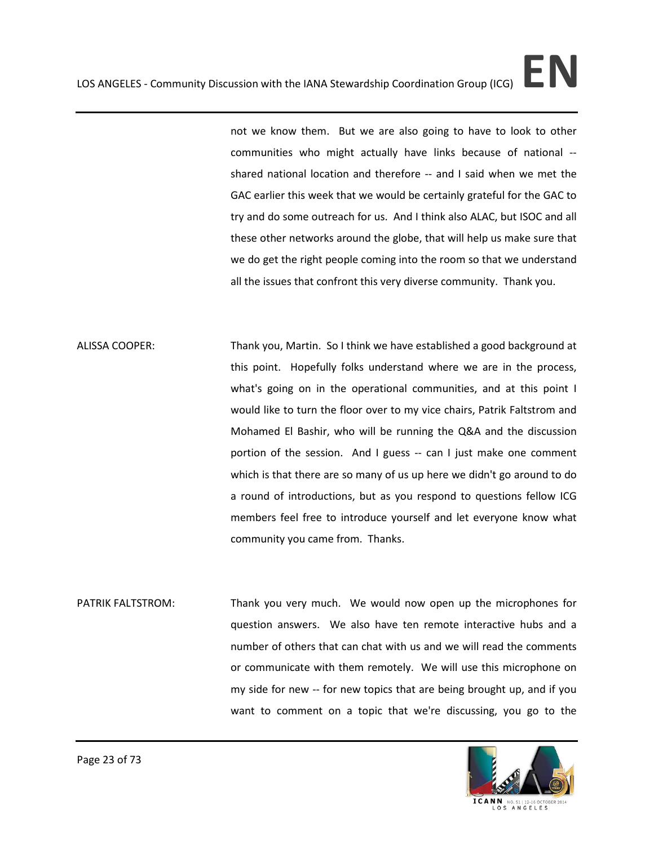not we know them. But we are also going to have to look to other communities who might actually have links because of national - shared national location and therefore -- and I said when we met the GAC earlier this week that we would be certainly grateful for the GAC to try and do some outreach for us. And I think also ALAC, but ISOC and all these other networks around the globe, that will help us make sure that we do get the right people coming into the room so that we understand all the issues that confront this very diverse community. Thank you.

- ALISSA COOPER: Thank you, Martin. So I think we have established a good background at this point. Hopefully folks understand where we are in the process, what's going on in the operational communities, and at this point I would like to turn the floor over to my vice chairs, Patrik Faltstrom and Mohamed El Bashir, who will be running the Q&A and the discussion portion of the session. And I guess -- can I just make one comment which is that there are so many of us up here we didn't go around to do a round of introductions, but as you respond to questions fellow ICG members feel free to introduce yourself and let everyone know what community you came from. Thanks.
- PATRIK FALTSTROM: Thank you very much. We would now open up the microphones for question answers. We also have ten remote interactive hubs and a number of others that can chat with us and we will read the comments or communicate with them remotely. We will use this microphone on my side for new -- for new topics that are being brought up, and if you want to comment on a topic that we're discussing, you go to the

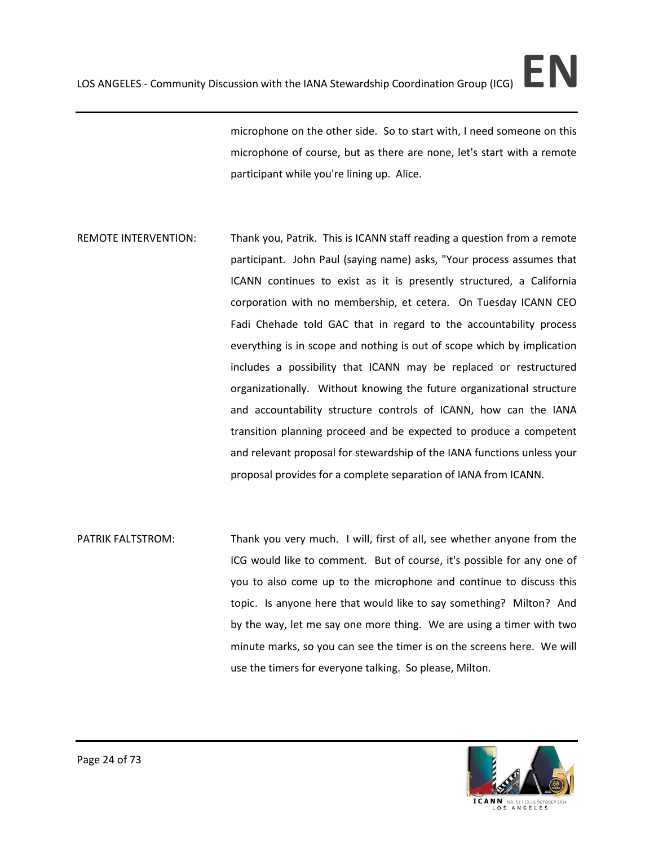microphone on the other side. So to start with, I need someone on this microphone of course, but as there are none, let's start with a remote participant while you're lining up. Alice.

- REMOTE INTERVENTION: Thank you, Patrik. This is ICANN staff reading a question from a remote participant. John Paul (saying name) asks, "Your process assumes that ICANN continues to exist as it is presently structured, a California corporation with no membership, et cetera. On Tuesday ICANN CEO Fadi Chehade told GAC that in regard to the accountability process everything is in scope and nothing is out of scope which by implication includes a possibility that ICANN may be replaced or restructured organizationally. Without knowing the future organizational structure and accountability structure controls of ICANN, how can the IANA transition planning proceed and be expected to produce a competent and relevant proposal for stewardship of the IANA functions unless your proposal provides for a complete separation of IANA from ICANN.
- PATRIK FALTSTROM: Thank you very much. I will, first of all, see whether anyone from the ICG would like to comment. But of course, it's possible for any one of you to also come up to the microphone and continue to discuss this topic. Is anyone here that would like to say something? Milton? And by the way, let me say one more thing. We are using a timer with two minute marks, so you can see the timer is on the screens here. We will use the timers for everyone talking. So please, Milton.

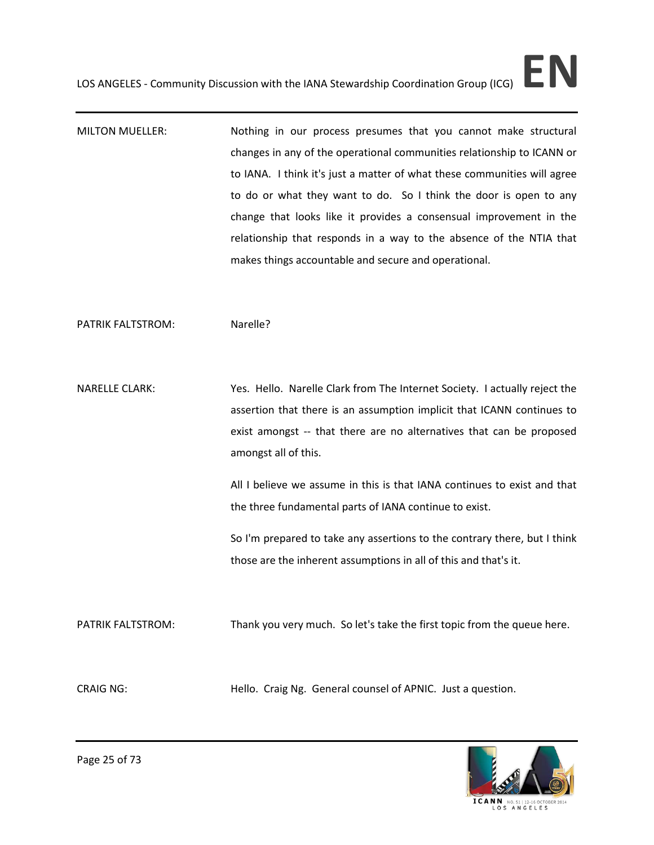MILTON MUELLER: Nothing in our process presumes that you cannot make structural changes in any of the operational communities relationship to ICANN or to IANA. I think it's just a matter of what these communities will agree to do or what they want to do. So I think the door is open to any change that looks like it provides a consensual improvement in the relationship that responds in a way to the absence of the NTIA that makes things accountable and secure and operational.

PATRIK FALTSTROM: Narelle?

NARELLE CLARK: Yes. Hello. Narelle Clark from The Internet Society. I actually reject the assertion that there is an assumption implicit that ICANN continues to exist amongst -- that there are no alternatives that can be proposed amongst all of this.

> All I believe we assume in this is that IANA continues to exist and that the three fundamental parts of IANA continue to exist.

> So I'm prepared to take any assertions to the contrary there, but I think those are the inherent assumptions in all of this and that's it.

PATRIK FALTSTROM: Thank you very much. So let's take the first topic from the queue here.

CRAIG NG: Hello. Craig Ng. General counsel of APNIC. Just a question.

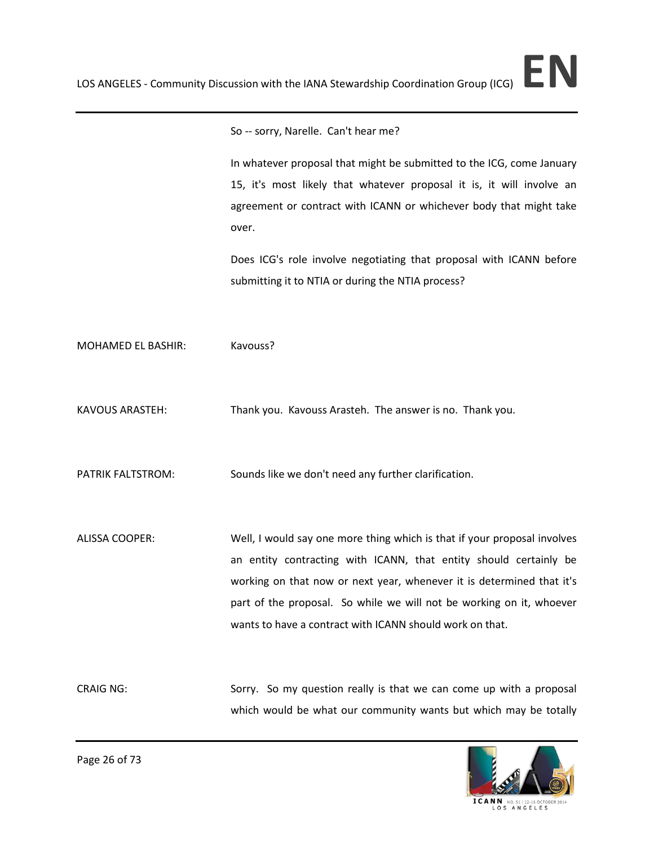So -- sorry, Narelle. Can't hear me?

In whatever proposal that might be submitted to the ICG, come January 15, it's most likely that whatever proposal it is, it will involve an agreement or contract with ICANN or whichever body that might take over.

Does ICG's role involve negotiating that proposal with ICANN before submitting it to NTIA or during the NTIA process?

MOHAMED EL BASHIR: Kavouss?

KAVOUS ARASTEH: Thank you. Kavouss Arasteh. The answer is no. Thank you.

PATRIK FALTSTROM: Sounds like we don't need any further clarification.

ALISSA COOPER: Well, I would say one more thing which is that if your proposal involves an entity contracting with ICANN, that entity should certainly be working on that now or next year, whenever it is determined that it's part of the proposal. So while we will not be working on it, whoever wants to have a contract with ICANN should work on that.

CRAIG NG: Sorry. So my question really is that we can come up with a proposal which would be what our community wants but which may be totally



Page 26 of 73

ICANN NO.51|12-16 OCTO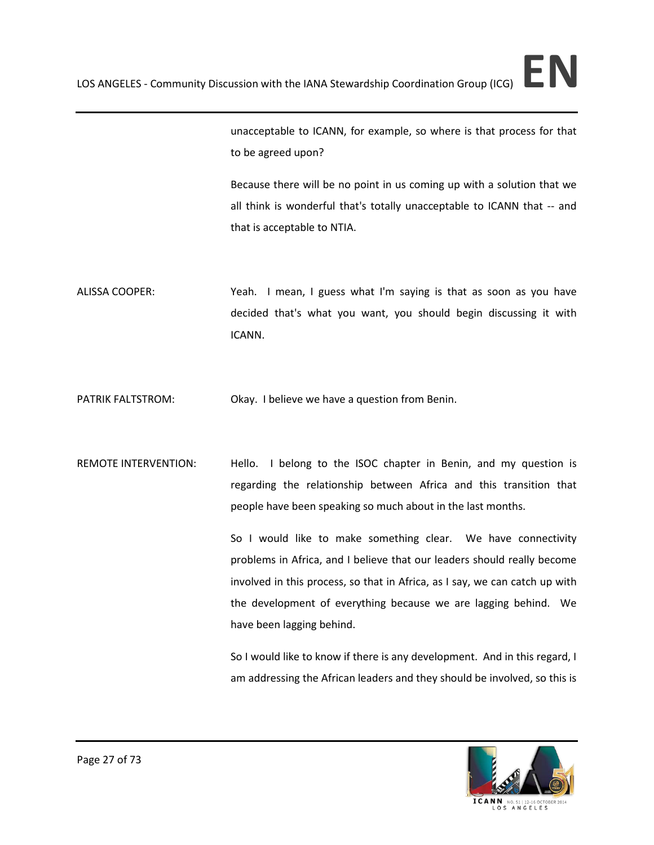unacceptable to ICANN, for example, so where is that process for that to be agreed upon?

Because there will be no point in us coming up with a solution that we all think is wonderful that's totally unacceptable to ICANN that -- and that is acceptable to NTIA.

- ALISSA COOPER: Yeah. I mean, I guess what I'm saying is that as soon as you have decided that's what you want, you should begin discussing it with ICANN.
- PATRIK FALTSTROM: Okay. I believe we have a question from Benin.
- REMOTE INTERVENTION: Hello. I belong to the ISOC chapter in Benin, and my question is regarding the relationship between Africa and this transition that people have been speaking so much about in the last months.

So I would like to make something clear. We have connectivity problems in Africa, and I believe that our leaders should really become involved in this process, so that in Africa, as I say, we can catch up with the development of everything because we are lagging behind. We have been lagging behind.

So I would like to know if there is any development. And in this regard, I am addressing the African leaders and they should be involved, so this is

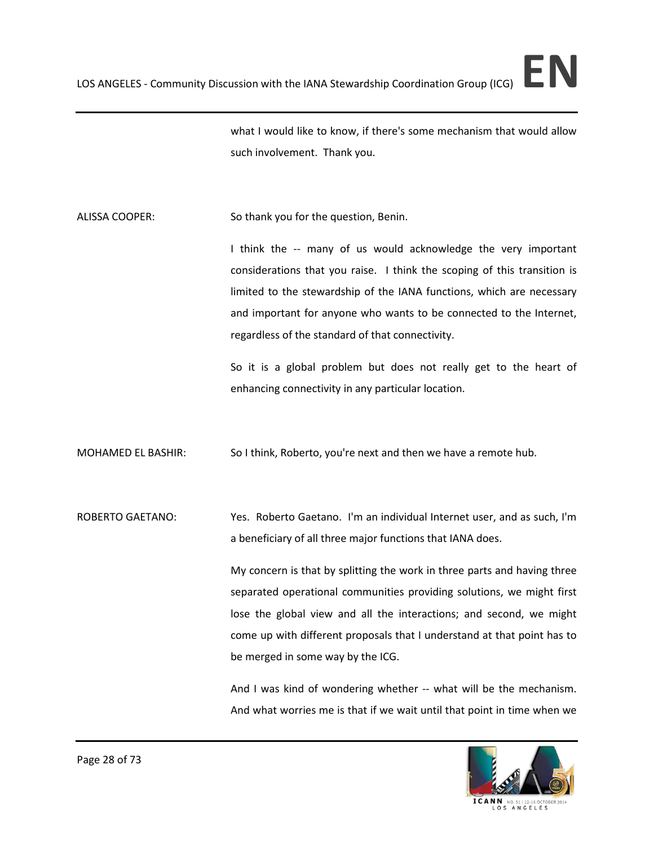what I would like to know, if there's some mechanism that would allow such involvement. Thank you.

ALISSA COOPER: So thank you for the question, Benin.

I think the -- many of us would acknowledge the very important considerations that you raise. I think the scoping of this transition is limited to the stewardship of the IANA functions, which are necessary and important for anyone who wants to be connected to the Internet, regardless of the standard of that connectivity.

So it is a global problem but does not really get to the heart of enhancing connectivity in any particular location.

MOHAMED EL BASHIR: So I think, Roberto, you're next and then we have a remote hub.

ROBERTO GAETANO: Yes. Roberto Gaetano. I'm an individual Internet user, and as such, I'm a beneficiary of all three major functions that IANA does.

> My concern is that by splitting the work in three parts and having three separated operational communities providing solutions, we might first lose the global view and all the interactions; and second, we might come up with different proposals that I understand at that point has to be merged in some way by the ICG.

> And I was kind of wondering whether -- what will be the mechanism. And what worries me is that if we wait until that point in time when we

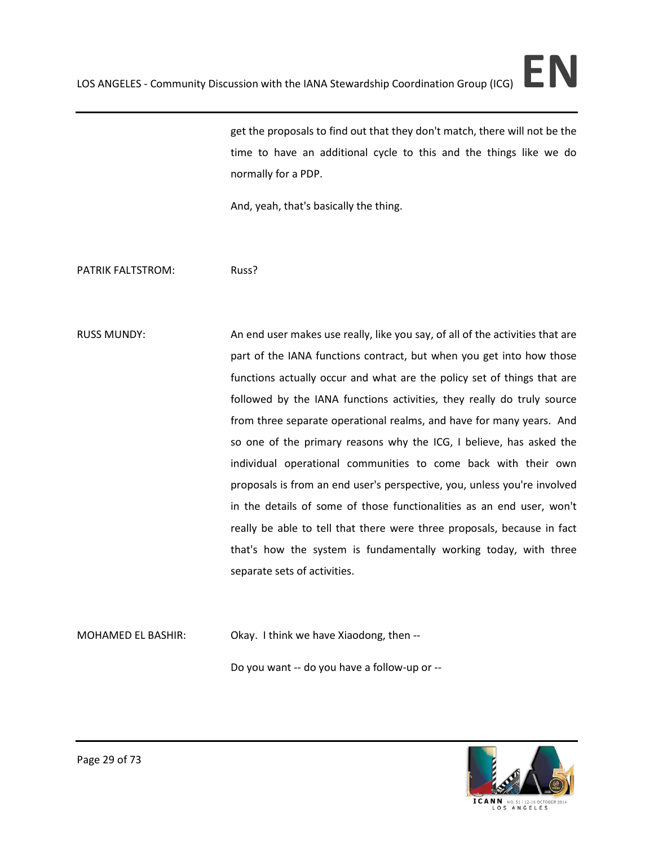get the proposals to find out that they don't match, there will not be the time to have an additional cycle to this and the things like we do normally for a PDP.

And, yeah, that's basically the thing.

PATRIK FALTSTROM: Russ?

RUSS MUNDY: An end user makes use really, like you say, of all of the activities that are part of the IANA functions contract, but when you get into how those functions actually occur and what are the policy set of things that are followed by the IANA functions activities, they really do truly source from three separate operational realms, and have for many years. And so one of the primary reasons why the ICG, I believe, has asked the individual operational communities to come back with their own proposals is from an end user's perspective, you, unless you're involved in the details of some of those functionalities as an end user, won't really be able to tell that there were three proposals, because in fact that's how the system is fundamentally working today, with three separate sets of activities.

MOHAMED EL BASHIR: Okay. I think we have Xiaodong, then --Do you want -- do you have a follow-up or --

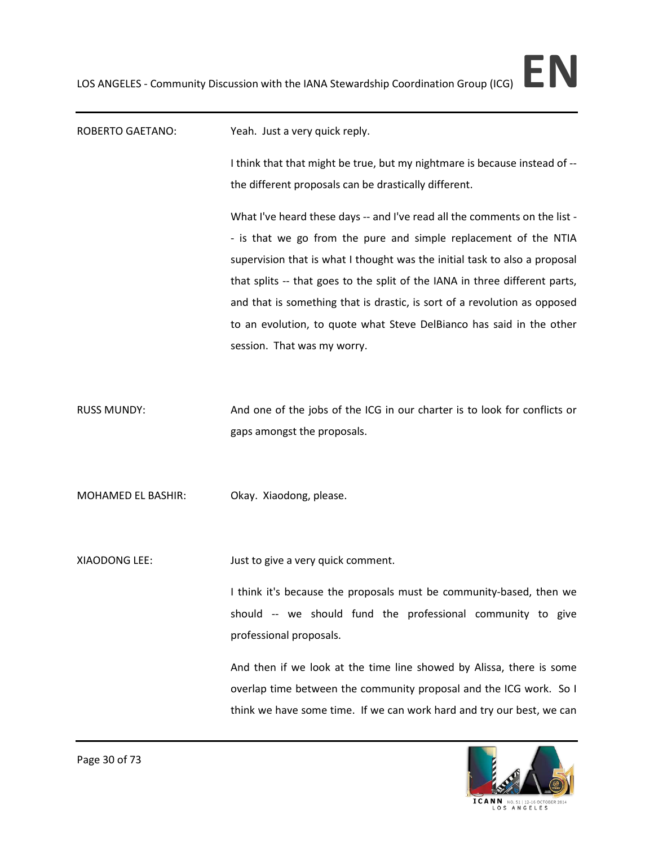# ROBERTO GAETANO: Yeah. Just a very quick reply. I think that that might be true, but my nightmare is because instead of - the different proposals can be drastically different. What I've heard these days -- and I've read all the comments on the list - - is that we go from the pure and simple replacement of the NTIA supervision that is what I thought was the initial task to also a proposal that splits -- that goes to the split of the IANA in three different parts, and that is something that is drastic, is sort of a revolution as opposed to an evolution, to quote what Steve DelBianco has said in the other session. That was my worry. RUSS MUNDY: And one of the jobs of the ICG in our charter is to look for conflicts or gaps amongst the proposals. MOHAMED EL BASHIR: Okay. Xiaodong, please. XIAODONG LEE: Just to give a very quick comment. I think it's because the proposals must be community-based, then we should -- we should fund the professional community to give professional proposals. And then if we look at the time line showed by Alissa, there is some overlap time between the community proposal and the ICG work. So I think we have some time. If we can work hard and try our best, we can

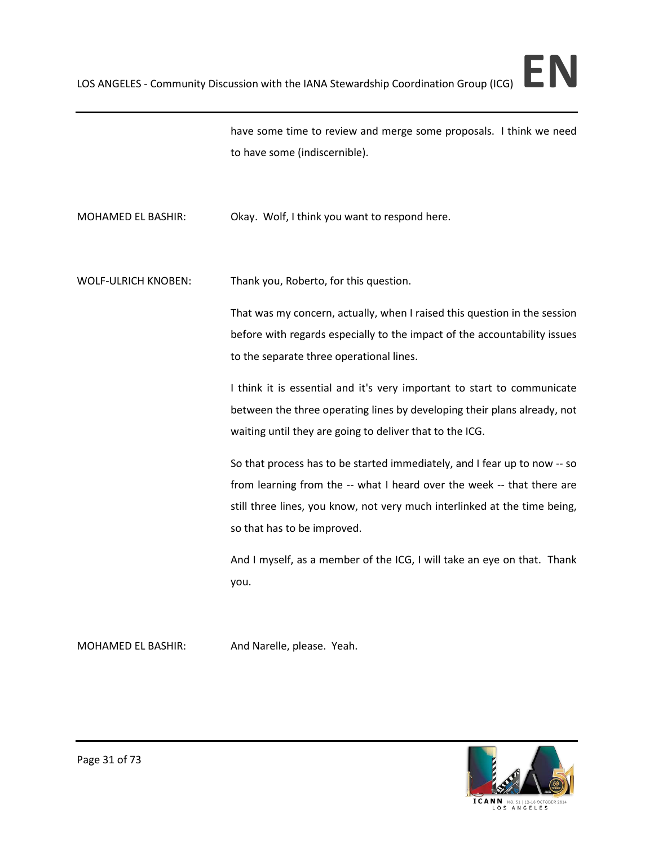

have some time to review and merge some proposals. I think we need to have some (indiscernible).

MOHAMED EL BASHIR: Okay. Wolf, I think you want to respond here.

WOLF-ULRICH KNOBEN: Thank you, Roberto, for this question.

That was my concern, actually, when I raised this question in the session before with regards especially to the impact of the accountability issues to the separate three operational lines.

I think it is essential and it's very important to start to communicate between the three operating lines by developing their plans already, not waiting until they are going to deliver that to the ICG.

So that process has to be started immediately, and I fear up to now -- so from learning from the -- what I heard over the week -- that there are still three lines, you know, not very much interlinked at the time being, so that has to be improved.

And I myself, as a member of the ICG, I will take an eye on that. Thank you.

MOHAMED EL BASHIR: And Narelle, please. Yeah.

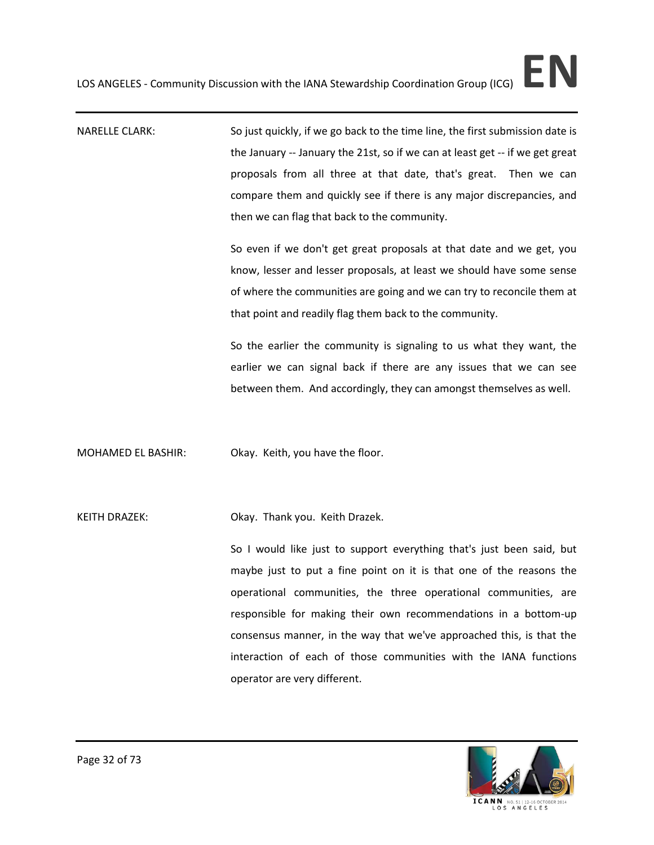NARELLE CLARK: So just quickly, if we go back to the time line, the first submission date is the January -- January the 21st, so if we can at least get -- if we get great proposals from all three at that date, that's great. Then we can compare them and quickly see if there is any major discrepancies, and then we can flag that back to the community.

> So even if we don't get great proposals at that date and we get, you know, lesser and lesser proposals, at least we should have some sense of where the communities are going and we can try to reconcile them at that point and readily flag them back to the community.

> So the earlier the community is signaling to us what they want, the earlier we can signal back if there are any issues that we can see between them. And accordingly, they can amongst themselves as well.

MOHAMED EL BASHIR: Okay. Keith, you have the floor.

KEITH DRAZEK: Okay. Thank you. Keith Drazek.

So I would like just to support everything that's just been said, but maybe just to put a fine point on it is that one of the reasons the operational communities, the three operational communities, are responsible for making their own recommendations in a bottom-up consensus manner, in the way that we've approached this, is that the interaction of each of those communities with the IANA functions operator are very different.

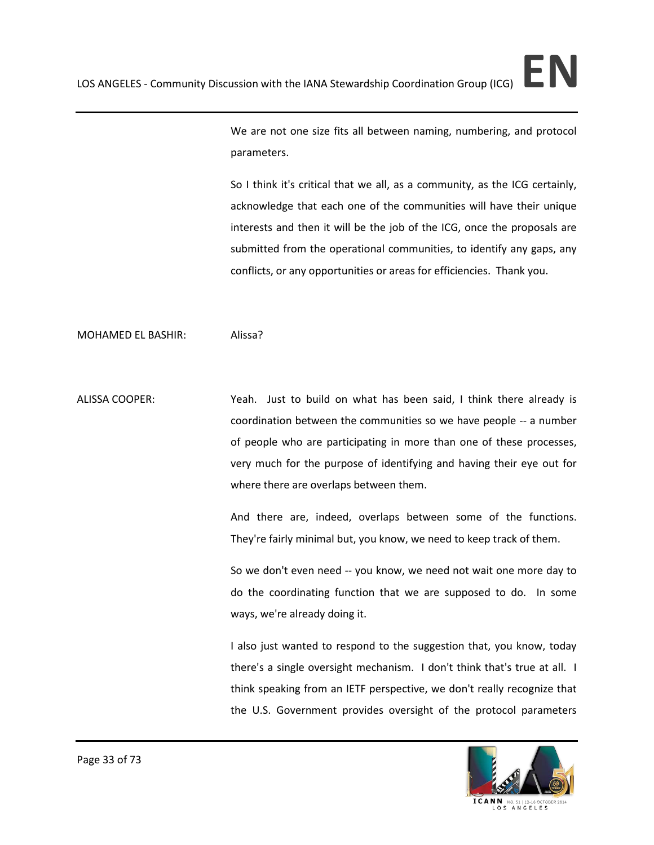We are not one size fits all between naming, numbering, and protocol parameters.

So I think it's critical that we all, as a community, as the ICG certainly, acknowledge that each one of the communities will have their unique interests and then it will be the job of the ICG, once the proposals are submitted from the operational communities, to identify any gaps, any conflicts, or any opportunities or areas for efficiencies. Thank you.

### MOHAMED EL BASHIR: Alissa?

ALISSA COOPER: Yeah. Just to build on what has been said, I think there already is coordination between the communities so we have people -- a number of people who are participating in more than one of these processes, very much for the purpose of identifying and having their eye out for where there are overlaps between them.

> And there are, indeed, overlaps between some of the functions. They're fairly minimal but, you know, we need to keep track of them.

> So we don't even need -- you know, we need not wait one more day to do the coordinating function that we are supposed to do. In some ways, we're already doing it.

> I also just wanted to respond to the suggestion that, you know, today there's a single oversight mechanism. I don't think that's true at all. I think speaking from an IETF perspective, we don't really recognize that the U.S. Government provides oversight of the protocol parameters



ICANN NO.51|12-16 OCTO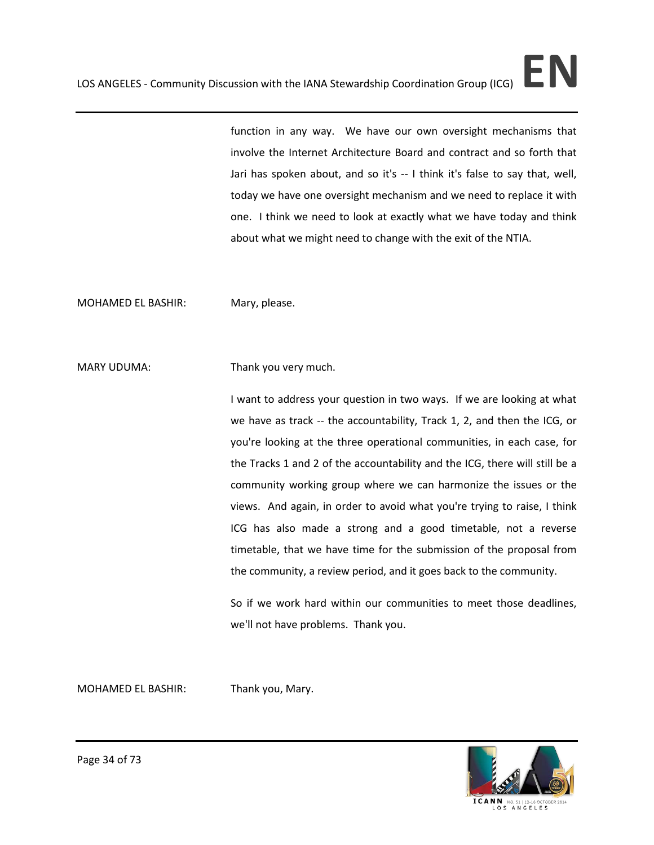function in any way. We have our own oversight mechanisms that involve the Internet Architecture Board and contract and so forth that Jari has spoken about, and so it's -- I think it's false to say that, well, today we have one oversight mechanism and we need to replace it with one. I think we need to look at exactly what we have today and think about what we might need to change with the exit of the NTIA.

MOHAMED EL BASHIR: Mary, please.

MARY UDUMA: Thank you very much.

I want to address your question in two ways. If we are looking at what we have as track -- the accountability, Track 1, 2, and then the ICG, or you're looking at the three operational communities, in each case, for the Tracks 1 and 2 of the accountability and the ICG, there will still be a community working group where we can harmonize the issues or the views. And again, in order to avoid what you're trying to raise, I think ICG has also made a strong and a good timetable, not a reverse timetable, that we have time for the submission of the proposal from the community, a review period, and it goes back to the community.

So if we work hard within our communities to meet those deadlines, we'll not have problems. Thank you.

MOHAMED EL BASHIR: Thank you, Mary.

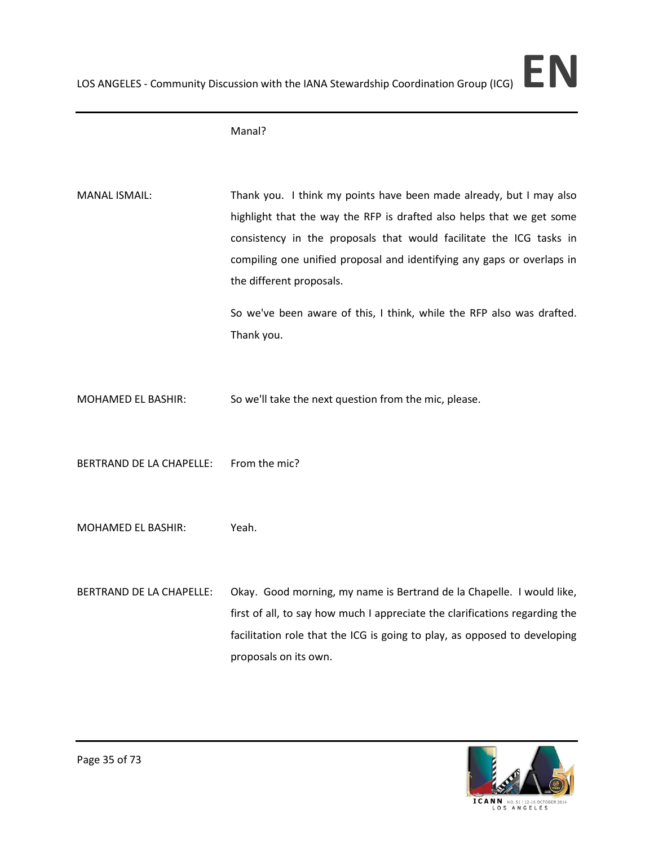Manal?

MANAL ISMAIL: Thank you. I think my points have been made already, but I may also highlight that the way the RFP is drafted also helps that we get some consistency in the proposals that would facilitate the ICG tasks in compiling one unified proposal and identifying any gaps or overlaps in the different proposals.

> So we've been aware of this, I think, while the RFP also was drafted. Thank you.

- MOHAMED EL BASHIR: So we'll take the next question from the mic, please.
- BERTRAND DE LA CHAPELLE: From the mic?
- MOHAMED EL BASHIR: Yeah.
- BERTRAND DE LA CHAPELLE: Okay. Good morning, my name is Bertrand de la Chapelle. I would like, first of all, to say how much I appreciate the clarifications regarding the facilitation role that the ICG is going to play, as opposed to developing proposals on its own.

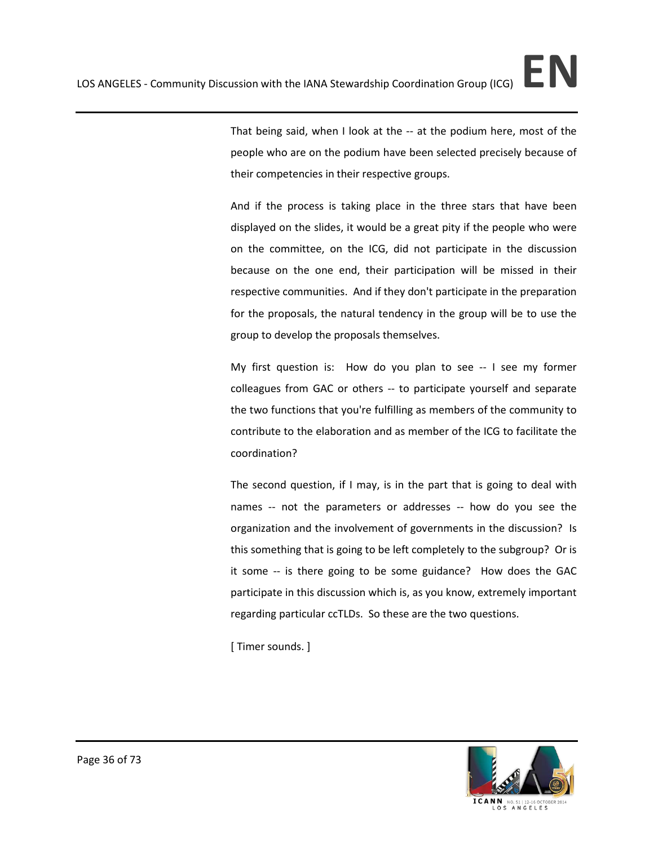That being said, when I look at the -- at the podium here, most of the people who are on the podium have been selected precisely because of their competencies in their respective groups.

And if the process is taking place in the three stars that have been displayed on the slides, it would be a great pity if the people who were on the committee, on the ICG, did not participate in the discussion because on the one end, their participation will be missed in their respective communities. And if they don't participate in the preparation for the proposals, the natural tendency in the group will be to use the group to develop the proposals themselves.

My first question is: How do you plan to see -- I see my former colleagues from GAC or others -- to participate yourself and separate the two functions that you're fulfilling as members of the community to contribute to the elaboration and as member of the ICG to facilitate the coordination?

The second question, if I may, is in the part that is going to deal with names -- not the parameters or addresses -- how do you see the organization and the involvement of governments in the discussion? Is this something that is going to be left completely to the subgroup? Or is it some -- is there going to be some guidance? How does the GAC participate in this discussion which is, as you know, extremely important regarding particular ccTLDs. So these are the two questions.

[ Timer sounds. ]

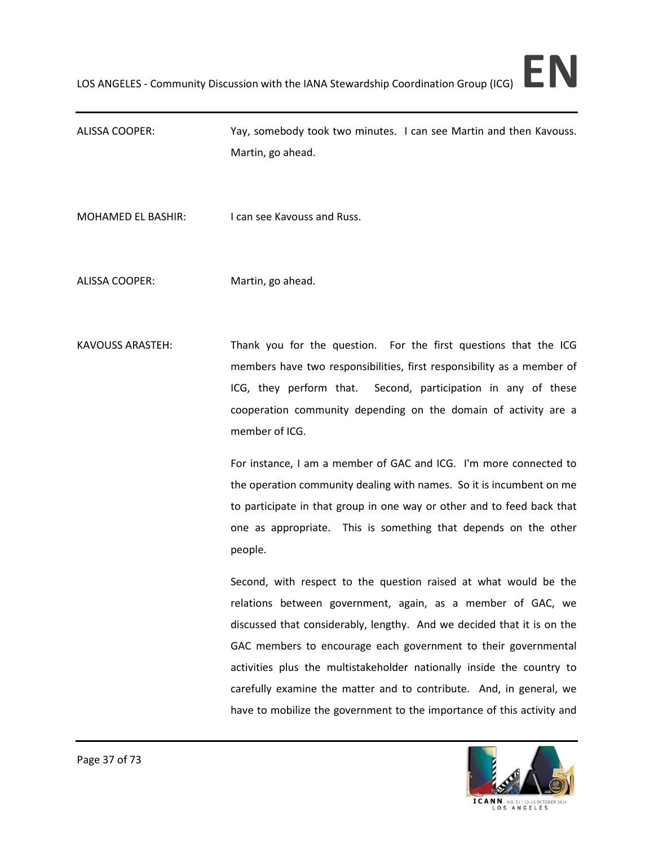ALISSA COOPER: Yay, somebody took two minutes. I can see Martin and then Kavouss. Martin, go ahead.

MOHAMED EL BASHIR: I can see Kavouss and Russ.

ALISSA COOPER: Martin, go ahead.

KAVOUSS ARASTEH: Thank you for the question. For the first questions that the ICG members have two responsibilities, first responsibility as a member of ICG, they perform that. Second, participation in any of these cooperation community depending on the domain of activity are a member of ICG.

> For instance, I am a member of GAC and ICG. I'm more connected to the operation community dealing with names. So it is incumbent on me to participate in that group in one way or other and to feed back that one as appropriate. This is something that depends on the other people.

> Second, with respect to the question raised at what would be the relations between government, again, as a member of GAC, we discussed that considerably, lengthy. And we decided that it is on the GAC members to encourage each government to their governmental activities plus the multistakeholder nationally inside the country to carefully examine the matter and to contribute. And, in general, we have to mobilize the government to the importance of this activity and

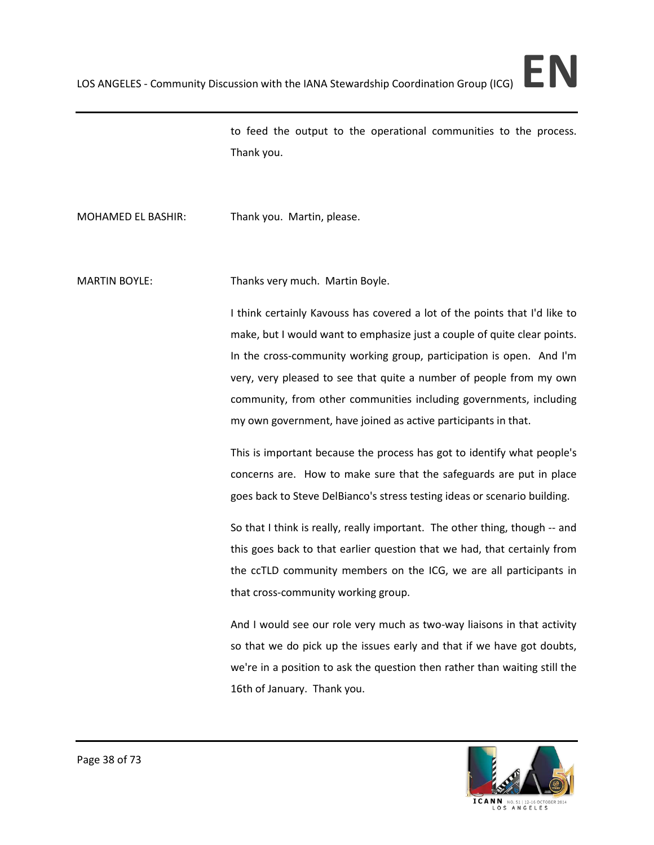to feed the output to the operational communities to the process. Thank you.

MOHAMED EL BASHIR: Thank you. Martin, please.

MARTIN BOYLE: Thanks very much. Martin Boyle.

I think certainly Kavouss has covered a lot of the points that I'd like to make, but I would want to emphasize just a couple of quite clear points. In the cross-community working group, participation is open. And I'm very, very pleased to see that quite a number of people from my own community, from other communities including governments, including my own government, have joined as active participants in that.

This is important because the process has got to identify what people's concerns are. How to make sure that the safeguards are put in place goes back to Steve DelBianco's stress testing ideas or scenario building.

So that I think is really, really important. The other thing, though -- and this goes back to that earlier question that we had, that certainly from the ccTLD community members on the ICG, we are all participants in that cross-community working group.

And I would see our role very much as two-way liaisons in that activity so that we do pick up the issues early and that if we have got doubts, we're in a position to ask the question then rather than waiting still the 16th of January. Thank you.

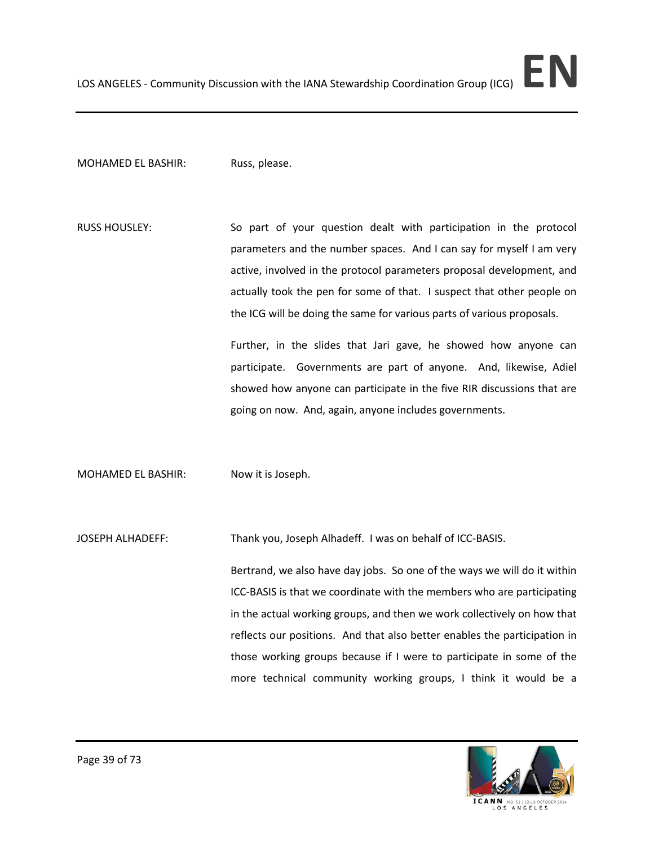## MOHAMED EL BASHIR: Russ, please.

RUSS HOUSLEY: So part of your question dealt with participation in the protocol parameters and the number spaces. And I can say for myself I am very active, involved in the protocol parameters proposal development, and actually took the pen for some of that. I suspect that other people on the ICG will be doing the same for various parts of various proposals.

> Further, in the slides that Jari gave, he showed how anyone can participate. Governments are part of anyone. And, likewise, Adiel showed how anyone can participate in the five RIR discussions that are going on now. And, again, anyone includes governments.

MOHAMED EL BASHIR: Now it is Joseph.

JOSEPH ALHADEFF: Thank you, Joseph Alhadeff. I was on behalf of ICC-BASIS.

Bertrand, we also have day jobs. So one of the ways we will do it within ICC-BASIS is that we coordinate with the members who are participating in the actual working groups, and then we work collectively on how that reflects our positions. And that also better enables the participation in those working groups because if I were to participate in some of the more technical community working groups, I think it would be a



Page 39 of 73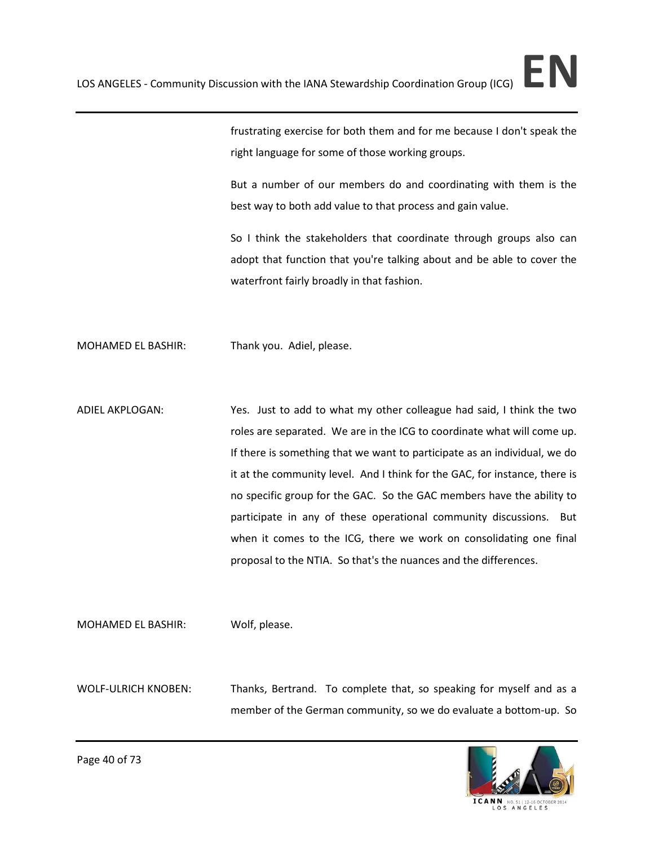frustrating exercise for both them and for me because I don't speak the right language for some of those working groups.

But a number of our members do and coordinating with them is the best way to both add value to that process and gain value.

So I think the stakeholders that coordinate through groups also can adopt that function that you're talking about and be able to cover the waterfront fairly broadly in that fashion.

MOHAMED EL BASHIR: Thank you. Adiel, please.

ADIEL AKPLOGAN: Yes. Just to add to what my other colleague had said, I think the two roles are separated. We are in the ICG to coordinate what will come up. If there is something that we want to participate as an individual, we do it at the community level. And I think for the GAC, for instance, there is no specific group for the GAC. So the GAC members have the ability to participate in any of these operational community discussions. But when it comes to the ICG, there we work on consolidating one final proposal to the NTIA. So that's the nuances and the differences.

MOHAMED EL BASHIR: Wolf, please.

WOLF-ULRICH KNOBEN: Thanks, Bertrand. To complete that, so speaking for myself and as a member of the German community, so we do evaluate a bottom-up. So



Page 40 of 73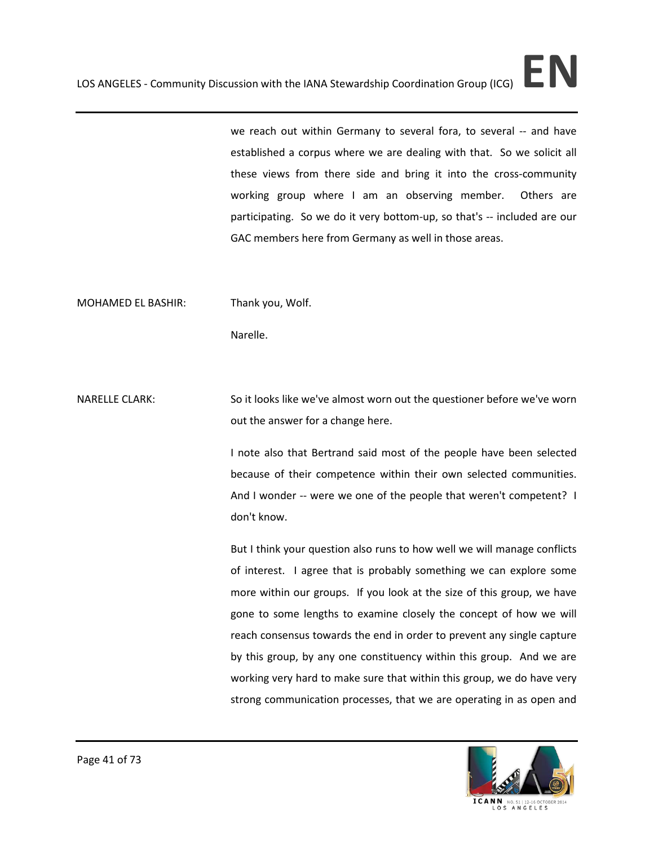we reach out within Germany to several fora, to several -- and have established a corpus where we are dealing with that. So we solicit all these views from there side and bring it into the cross-community working group where I am an observing member. Others are participating. So we do it very bottom-up, so that's -- included are our GAC members here from Germany as well in those areas.

MOHAMED EL BASHIR: Thank you, Wolf.

Narelle.

NARELLE CLARK: So it looks like we've almost worn out the questioner before we've worn out the answer for a change here.

> I note also that Bertrand said most of the people have been selected because of their competence within their own selected communities. And I wonder -- were we one of the people that weren't competent? I don't know.

> But I think your question also runs to how well we will manage conflicts of interest. I agree that is probably something we can explore some more within our groups. If you look at the size of this group, we have gone to some lengths to examine closely the concept of how we will reach consensus towards the end in order to prevent any single capture by this group, by any one constituency within this group. And we are working very hard to make sure that within this group, we do have very strong communication processes, that we are operating in as open and

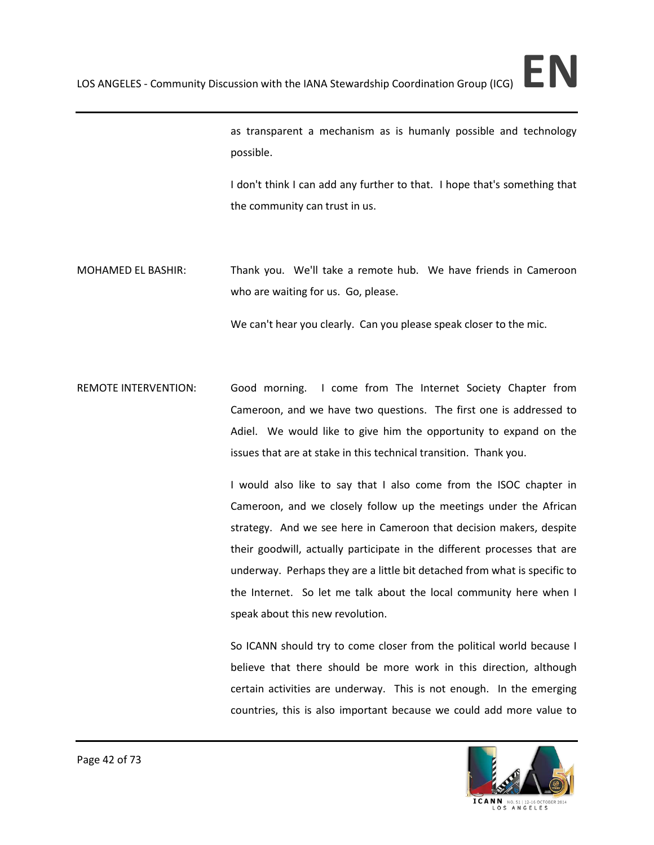as transparent a mechanism as is humanly possible and technology possible.

I don't think I can add any further to that. I hope that's something that the community can trust in us.

MOHAMED EL BASHIR: Thank you. We'll take a remote hub. We have friends in Cameroon who are waiting for us. Go, please.

We can't hear you clearly. Can you please speak closer to the mic.

REMOTE INTERVENTION: Good morning. I come from The Internet Society Chapter from Cameroon, and we have two questions. The first one is addressed to Adiel. We would like to give him the opportunity to expand on the issues that are at stake in this technical transition. Thank you.

> I would also like to say that I also come from the ISOC chapter in Cameroon, and we closely follow up the meetings under the African strategy. And we see here in Cameroon that decision makers, despite their goodwill, actually participate in the different processes that are underway. Perhaps they are a little bit detached from what is specific to the Internet. So let me talk about the local community here when I speak about this new revolution.

> So ICANN should try to come closer from the political world because I believe that there should be more work in this direction, although certain activities are underway. This is not enough. In the emerging countries, this is also important because we could add more value to



ICANN NO.51|12-16 OCTO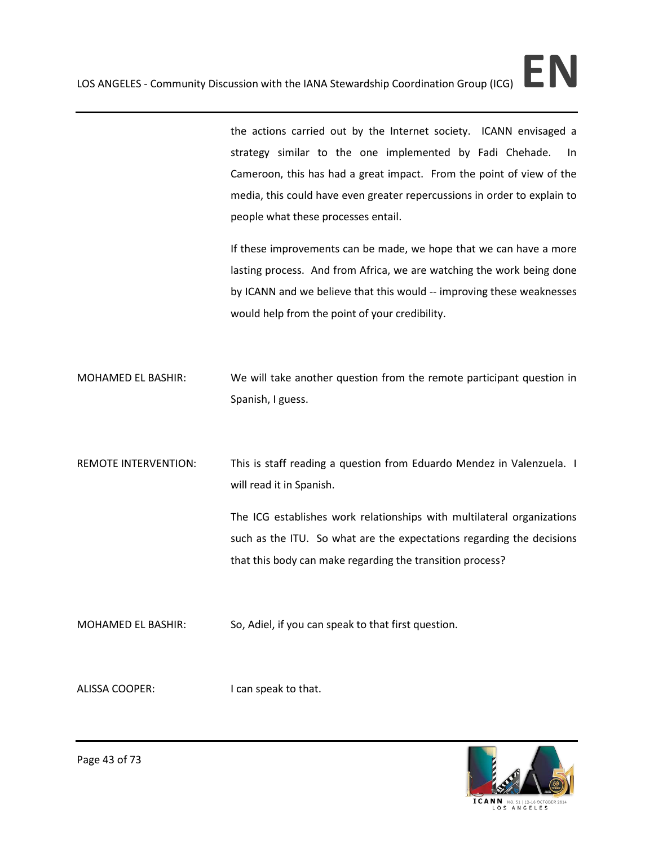the actions carried out by the Internet society. ICANN envisaged a strategy similar to the one implemented by Fadi Chehade. In Cameroon, this has had a great impact. From the point of view of the media, this could have even greater repercussions in order to explain to people what these processes entail.

If these improvements can be made, we hope that we can have a more lasting process. And from Africa, we are watching the work being done by ICANN and we believe that this would -- improving these weaknesses would help from the point of your credibility.

MOHAMED EL BASHIR: We will take another question from the remote participant question in Spanish, I guess.

REMOTE INTERVENTION: This is staff reading a question from Eduardo Mendez in Valenzuela. I will read it in Spanish.

> The ICG establishes work relationships with multilateral organizations such as the ITU. So what are the expectations regarding the decisions that this body can make regarding the transition process?

MOHAMED EL BASHIR: So, Adiel, if you can speak to that first question.

ALISSA COOPER: I can speak to that.

ICANN NO. 51 | 12-16 OCTO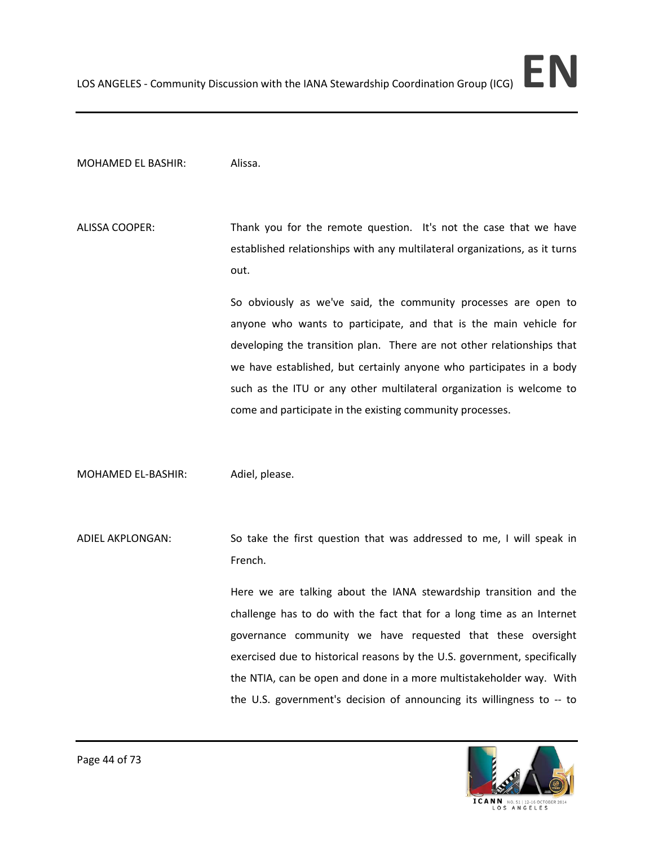## MOHAMED EL BASHIR: Alissa.

ALISSA COOPER: Thank you for the remote question. It's not the case that we have established relationships with any multilateral organizations, as it turns out.

> So obviously as we've said, the community processes are open to anyone who wants to participate, and that is the main vehicle for developing the transition plan. There are not other relationships that we have established, but certainly anyone who participates in a body such as the ITU or any other multilateral organization is welcome to come and participate in the existing community processes.

MOHAMED EL-BASHIR: Adiel, please.

ADIEL AKPLONGAN: So take the first question that was addressed to me, I will speak in French.

> Here we are talking about the IANA stewardship transition and the challenge has to do with the fact that for a long time as an Internet governance community we have requested that these oversight exercised due to historical reasons by the U.S. government, specifically the NTIA, can be open and done in a more multistakeholder way. With the U.S. government's decision of announcing its willingness to -- to

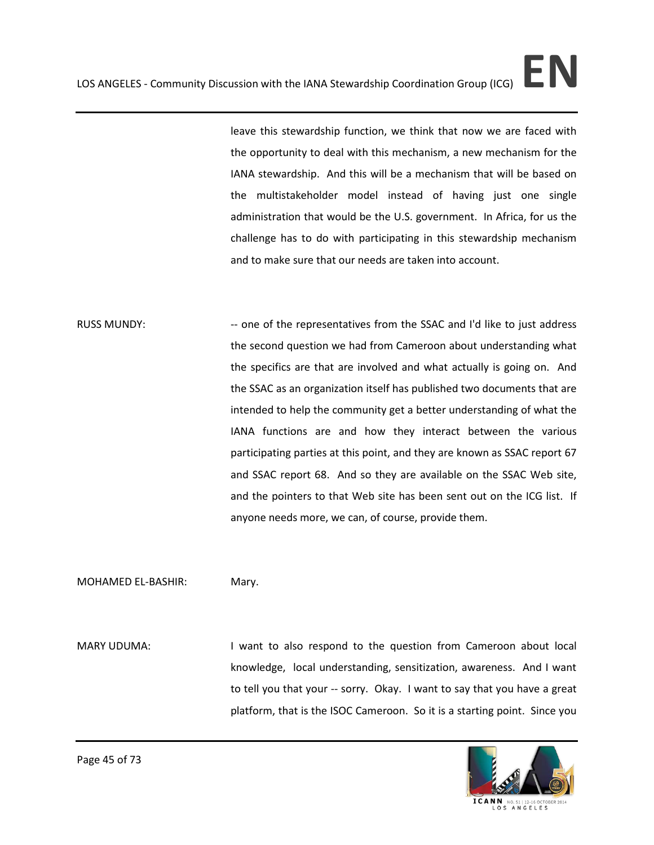leave this stewardship function, we think that now we are faced with the opportunity to deal with this mechanism, a new mechanism for the IANA stewardship. And this will be a mechanism that will be based on the multistakeholder model instead of having just one single administration that would be the U.S. government. In Africa, for us the challenge has to do with participating in this stewardship mechanism and to make sure that our needs are taken into account.

RUSS MUNDY: -- one of the representatives from the SSAC and I'd like to just address the second question we had from Cameroon about understanding what the specifics are that are involved and what actually is going on. And the SSAC as an organization itself has published two documents that are intended to help the community get a better understanding of what the IANA functions are and how they interact between the various participating parties at this point, and they are known as SSAC report 67 and SSAC report 68. And so they are available on the SSAC Web site, and the pointers to that Web site has been sent out on the ICG list. If anyone needs more, we can, of course, provide them.

MOHAMED EL-BASHIR: Mary.

MARY UDUMA: I want to also respond to the question from Cameroon about local knowledge, local understanding, sensitization, awareness. And I want to tell you that your -- sorry. Okay. I want to say that you have a great platform, that is the ISOC Cameroon. So it is a starting point. Since you



Page 45 of 73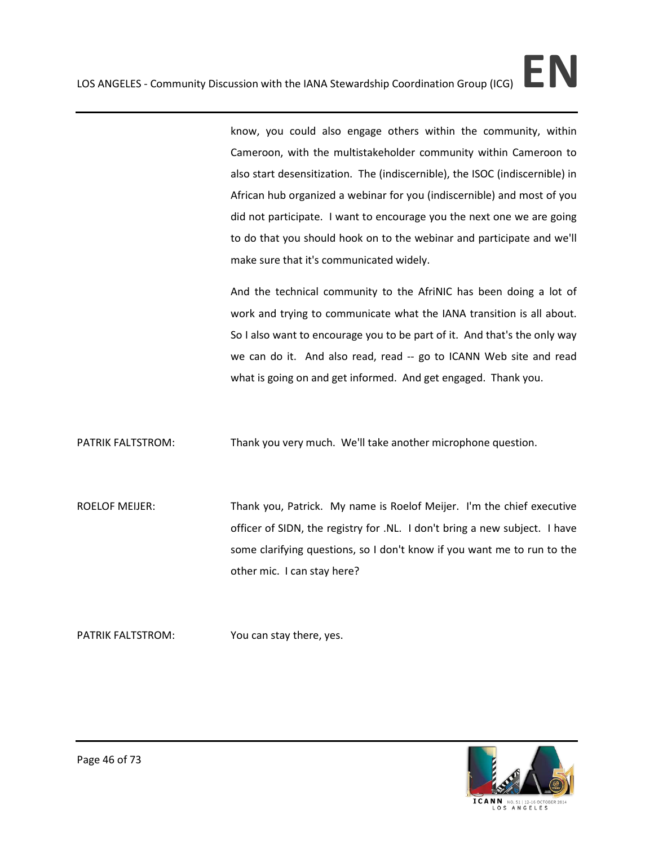know, you could also engage others within the community, within Cameroon, with the multistakeholder community within Cameroon to also start desensitization. The (indiscernible), the ISOC (indiscernible) in African hub organized a webinar for you (indiscernible) and most of you did not participate. I want to encourage you the next one we are going to do that you should hook on to the webinar and participate and we'll make sure that it's communicated widely.

And the technical community to the AfriNIC has been doing a lot of work and trying to communicate what the IANA transition is all about. So I also want to encourage you to be part of it. And that's the only way we can do it. And also read, read -- go to ICANN Web site and read what is going on and get informed. And get engaged. Thank you.

PATRIK FALTSTROM: Thank you very much. We'll take another microphone question.

ROELOF MEIJER: Thank you, Patrick. My name is Roelof Meijer. I'm the chief executive officer of SIDN, the registry for .NL. I don't bring a new subject. I have some clarifying questions, so I don't know if you want me to run to the other mic. I can stay here?

PATRIK FALTSTROM: You can stay there, yes.

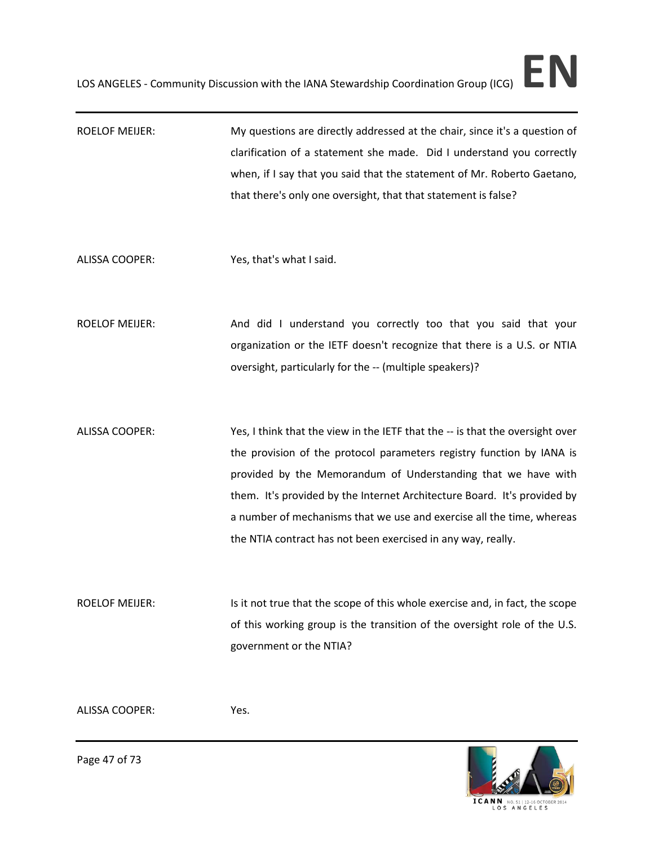- ROELOF MEIJER: My questions are directly addressed at the chair, since it's a question of clarification of a statement she made. Did I understand you correctly when, if I say that you said that the statement of Mr. Roberto Gaetano, that there's only one oversight, that that statement is false?
- ALISSA COOPER: Yes, that's what I said.
- ROELOF MEIJER: And did I understand you correctly too that you said that your organization or the IETF doesn't recognize that there is a U.S. or NTIA oversight, particularly for the -- (multiple speakers)?
- ALISSA COOPER: Yes, I think that the view in the IETF that the -- is that the oversight over the provision of the protocol parameters registry function by IANA is provided by the Memorandum of Understanding that we have with them. It's provided by the Internet Architecture Board. It's provided by a number of mechanisms that we use and exercise all the time, whereas the NTIA contract has not been exercised in any way, really.

ROELOF MEIJER: Is it not true that the scope of this whole exercise and, in fact, the scope of this working group is the transition of the oversight role of the U.S. government or the NTIA?

ALISSA COOPER: Yes.

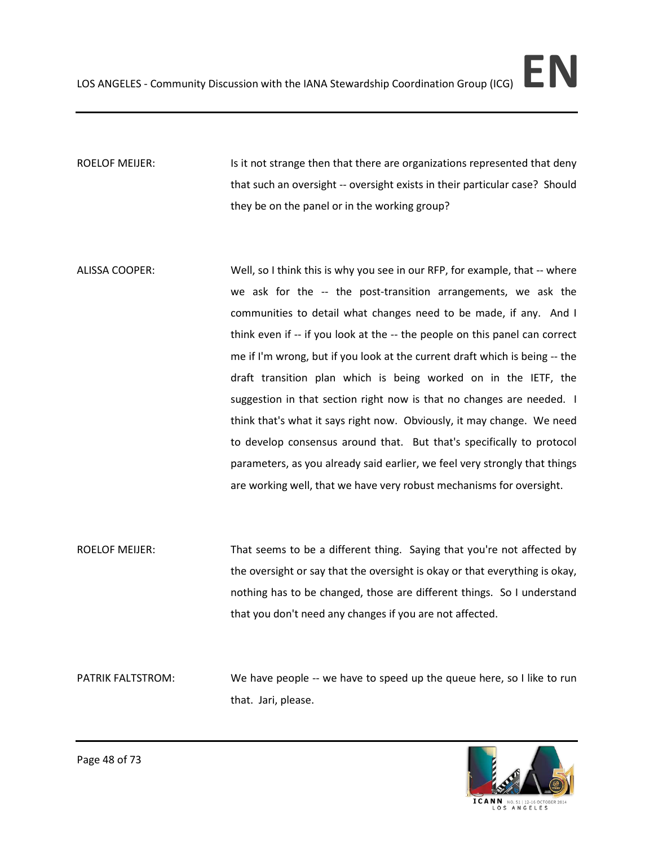ROELOF MEIJER: Is it not strange then that there are organizations represented that deny that such an oversight -- oversight exists in their particular case? Should they be on the panel or in the working group?

- ALISSA COOPER: Well, so I think this is why you see in our RFP, for example, that -- where we ask for the -- the post-transition arrangements, we ask the communities to detail what changes need to be made, if any. And I think even if -- if you look at the -- the people on this panel can correct me if I'm wrong, but if you look at the current draft which is being -- the draft transition plan which is being worked on in the IETF, the suggestion in that section right now is that no changes are needed. I think that's what it says right now. Obviously, it may change. We need to develop consensus around that. But that's specifically to protocol parameters, as you already said earlier, we feel very strongly that things are working well, that we have very robust mechanisms for oversight.
- ROELOF MEIJER: That seems to be a different thing. Saying that you're not affected by the oversight or say that the oversight is okay or that everything is okay, nothing has to be changed, those are different things. So I understand that you don't need any changes if you are not affected.

PATRIK FALTSTROM: We have people -- we have to speed up the queue here, so I like to run that. Jari, please.

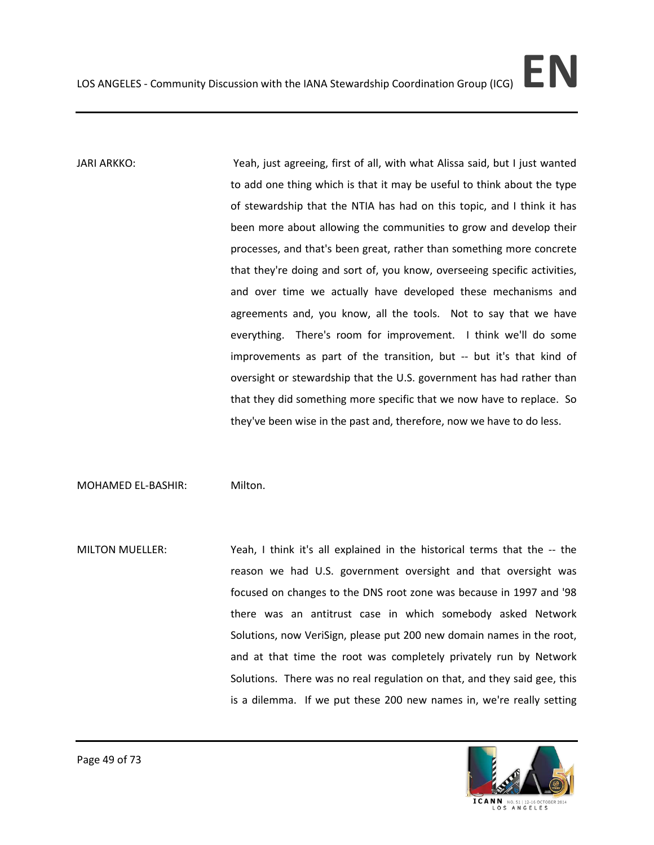JARI ARKKO: Yeah, just agreeing, first of all, with what Alissa said, but I just wanted to add one thing which is that it may be useful to think about the type of stewardship that the NTIA has had on this topic, and I think it has been more about allowing the communities to grow and develop their processes, and that's been great, rather than something more concrete that they're doing and sort of, you know, overseeing specific activities, and over time we actually have developed these mechanisms and agreements and, you know, all the tools. Not to say that we have everything. There's room for improvement. I think we'll do some improvements as part of the transition, but -- but it's that kind of oversight or stewardship that the U.S. government has had rather than that they did something more specific that we now have to replace. So they've been wise in the past and, therefore, now we have to do less.

MOHAMED EL-BASHIR: Milton.

MILTON MUELLER: Yeah, I think it's all explained in the historical terms that the -- the reason we had U.S. government oversight and that oversight was focused on changes to the DNS root zone was because in 1997 and '98 there was an antitrust case in which somebody asked Network Solutions, now VeriSign, please put 200 new domain names in the root, and at that time the root was completely privately run by Network Solutions. There was no real regulation on that, and they said gee, this is a dilemma. If we put these 200 new names in, we're really setting

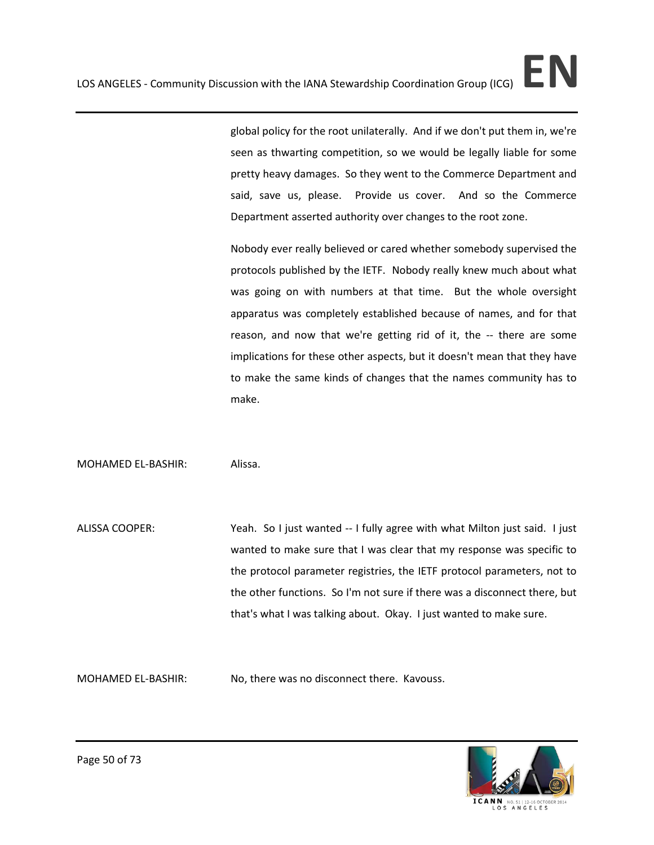global policy for the root unilaterally. And if we don't put them in, we're seen as thwarting competition, so we would be legally liable for some pretty heavy damages. So they went to the Commerce Department and said, save us, please. Provide us cover. And so the Commerce Department asserted authority over changes to the root zone.

Nobody ever really believed or cared whether somebody supervised the protocols published by the IETF. Nobody really knew much about what was going on with numbers at that time. But the whole oversight apparatus was completely established because of names, and for that reason, and now that we're getting rid of it, the -- there are some implications for these other aspects, but it doesn't mean that they have to make the same kinds of changes that the names community has to make.

## MOHAMED EL-BASHIR: Alissa.

ALISSA COOPER: Yeah. So I just wanted -- I fully agree with what Milton just said. I just wanted to make sure that I was clear that my response was specific to the protocol parameter registries, the IETF protocol parameters, not to the other functions. So I'm not sure if there was a disconnect there, but that's what I was talking about. Okay. I just wanted to make sure.

MOHAMED EL-BASHIR: No, there was no disconnect there. Kavouss.

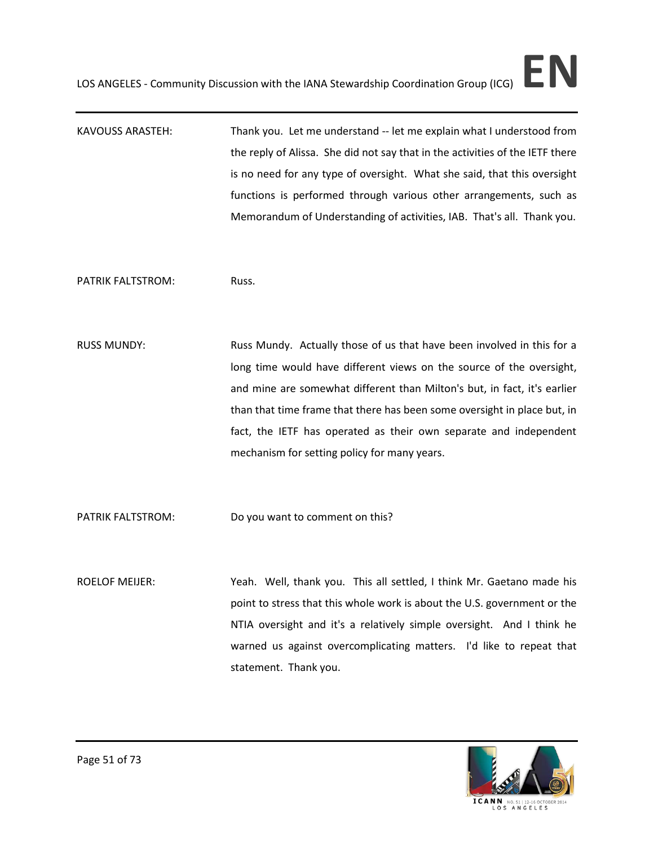KAVOUSS ARASTEH: Thank you. Let me understand -- let me explain what I understood from the reply of Alissa. She did not say that in the activities of the IETF there is no need for any type of oversight. What she said, that this oversight functions is performed through various other arrangements, such as Memorandum of Understanding of activities, IAB. That's all. Thank you.

PATRIK FALTSTROM: Russ.

RUSS MUNDY: Russ Mundy. Actually those of us that have been involved in this for a long time would have different views on the source of the oversight, and mine are somewhat different than Milton's but, in fact, it's earlier than that time frame that there has been some oversight in place but, in fact, the IETF has operated as their own separate and independent mechanism for setting policy for many years.

PATRIK FALTSTROM: Do you want to comment on this?

ROELOF MEIJER: Yeah. Well, thank you. This all settled, I think Mr. Gaetano made his point to stress that this whole work is about the U.S. government or the NTIA oversight and it's a relatively simple oversight. And I think he warned us against overcomplicating matters. I'd like to repeat that statement. Thank you.

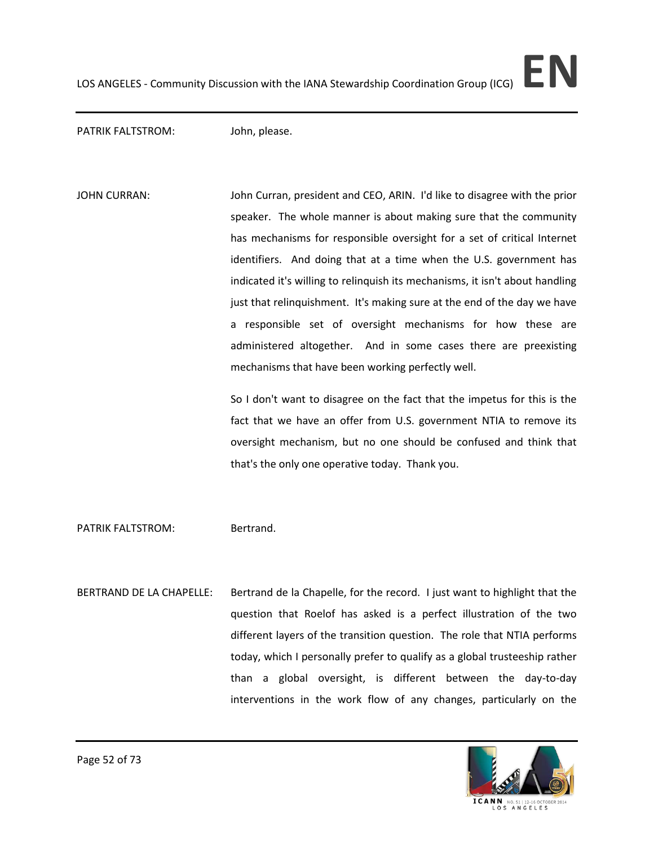PATRIK FALTSTROM: John, please.

JOHN CURRAN: John Curran, president and CEO, ARIN. I'd like to disagree with the prior speaker. The whole manner is about making sure that the community has mechanisms for responsible oversight for a set of critical Internet identifiers. And doing that at a time when the U.S. government has indicated it's willing to relinquish its mechanisms, it isn't about handling just that relinquishment. It's making sure at the end of the day we have a responsible set of oversight mechanisms for how these are administered altogether. And in some cases there are preexisting mechanisms that have been working perfectly well.

> So I don't want to disagree on the fact that the impetus for this is the fact that we have an offer from U.S. government NTIA to remove its oversight mechanism, but no one should be confused and think that that's the only one operative today. Thank you.

PATRIK FALTSTROM: Bertrand.

BERTRAND DE LA CHAPELLE: Bertrand de la Chapelle, for the record. I just want to highlight that the question that Roelof has asked is a perfect illustration of the two different layers of the transition question. The role that NTIA performs today, which I personally prefer to qualify as a global trusteeship rather than a global oversight, is different between the day-to-day interventions in the work flow of any changes, particularly on the

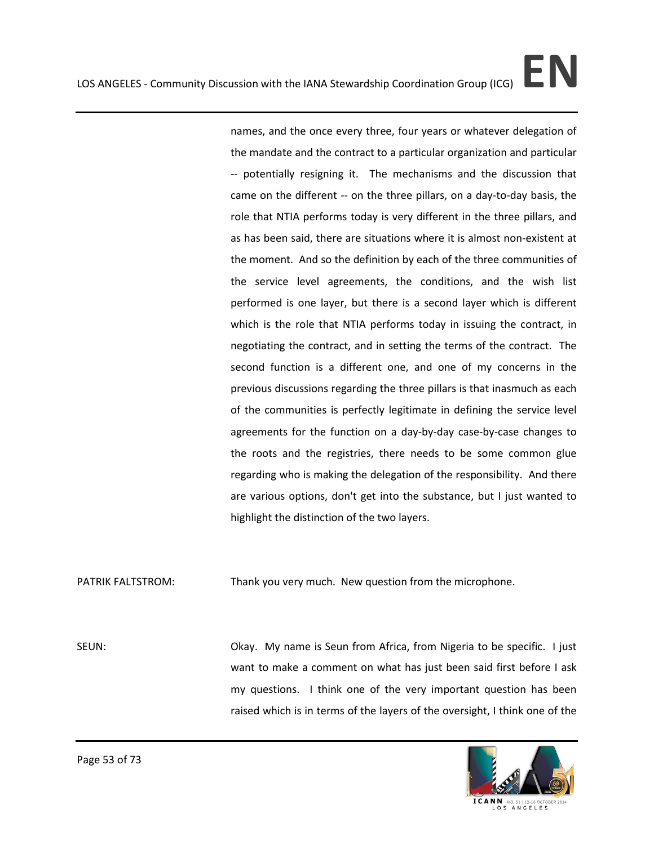names, and the once every three, four years or whatever delegation of the mandate and the contract to a particular organization and particular -- potentially resigning it. The mechanisms and the discussion that came on the different -- on the three pillars, on a day-to-day basis, the role that NTIA performs today is very different in the three pillars, and as has been said, there are situations where it is almost non-existent at the moment. And so the definition by each of the three communities of the service level agreements, the conditions, and the wish list performed is one layer, but there is a second layer which is different which is the role that NTIA performs today in issuing the contract, in negotiating the contract, and in setting the terms of the contract. The second function is a different one, and one of my concerns in the previous discussions regarding the three pillars is that inasmuch as each of the communities is perfectly legitimate in defining the service level agreements for the function on a day-by-day case-by-case changes to the roots and the registries, there needs to be some common glue regarding who is making the delegation of the responsibility. And there are various options, don't get into the substance, but I just wanted to highlight the distinction of the two layers.

PATRIK FALTSTROM: Thank you very much. New question from the microphone.

SEUN: Okay. My name is Seun from Africa, from Nigeria to be specific. I just want to make a comment on what has just been said first before I ask my questions. I think one of the very important question has been raised which is in terms of the layers of the oversight, I think one of the



Page 53 of 73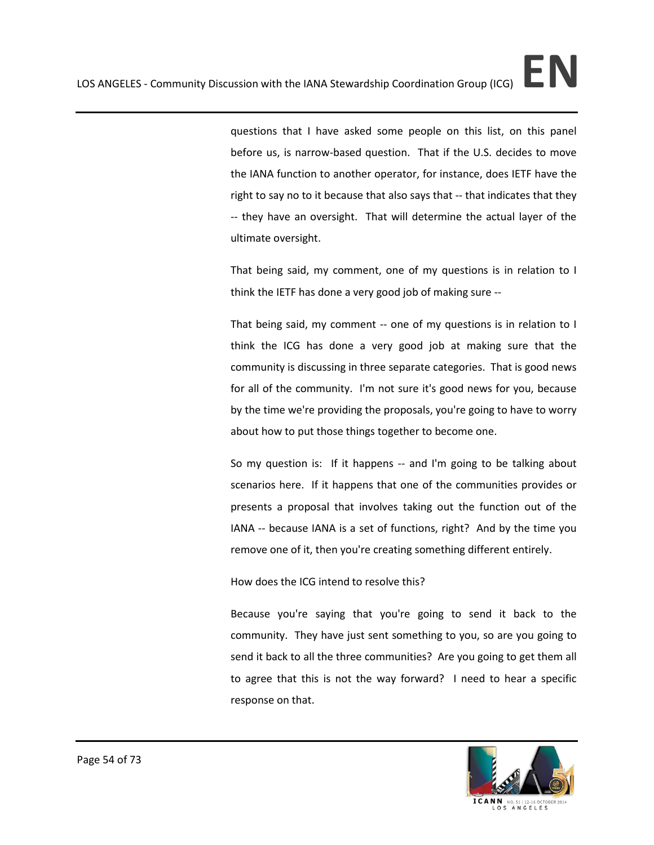questions that I have asked some people on this list, on this panel before us, is narrow-based question. That if the U.S. decides to move the IANA function to another operator, for instance, does IETF have the right to say no to it because that also says that -- that indicates that they -- they have an oversight. That will determine the actual layer of the ultimate oversight.

That being said, my comment, one of my questions is in relation to I think the IETF has done a very good job of making sure --

That being said, my comment -- one of my questions is in relation to I think the ICG has done a very good job at making sure that the community is discussing in three separate categories. That is good news for all of the community. I'm not sure it's good news for you, because by the time we're providing the proposals, you're going to have to worry about how to put those things together to become one.

So my question is: If it happens -- and I'm going to be talking about scenarios here. If it happens that one of the communities provides or presents a proposal that involves taking out the function out of the IANA -- because IANA is a set of functions, right? And by the time you remove one of it, then you're creating something different entirely.

How does the ICG intend to resolve this?

Because you're saying that you're going to send it back to the community. They have just sent something to you, so are you going to send it back to all the three communities? Are you going to get them all to agree that this is not the way forward? I need to hear a specific response on that.

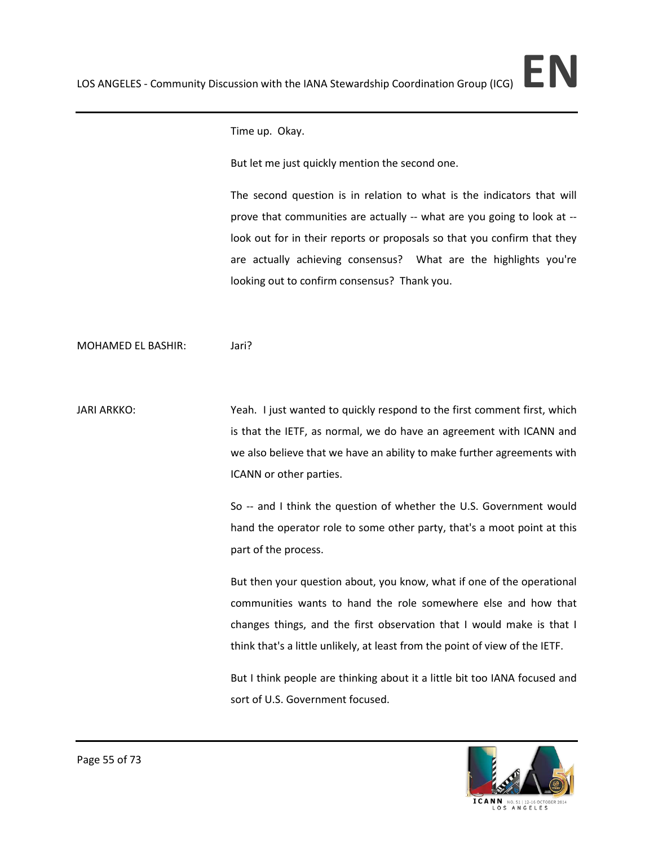Time up. Okay.

But let me just quickly mention the second one.

The second question is in relation to what is the indicators that will prove that communities are actually -- what are you going to look at - look out for in their reports or proposals so that you confirm that they are actually achieving consensus? What are the highlights you're looking out to confirm consensus? Thank you.

MOHAMED EL BASHIR: Jari?

JARI ARKKO: Yeah. I just wanted to quickly respond to the first comment first, which is that the IETF, as normal, we do have an agreement with ICANN and we also believe that we have an ability to make further agreements with ICANN or other parties.

> So -- and I think the question of whether the U.S. Government would hand the operator role to some other party, that's a moot point at this part of the process.

> But then your question about, you know, what if one of the operational communities wants to hand the role somewhere else and how that changes things, and the first observation that I would make is that I think that's a little unlikely, at least from the point of view of the IETF.

> But I think people are thinking about it a little bit too IANA focused and sort of U.S. Government focused.

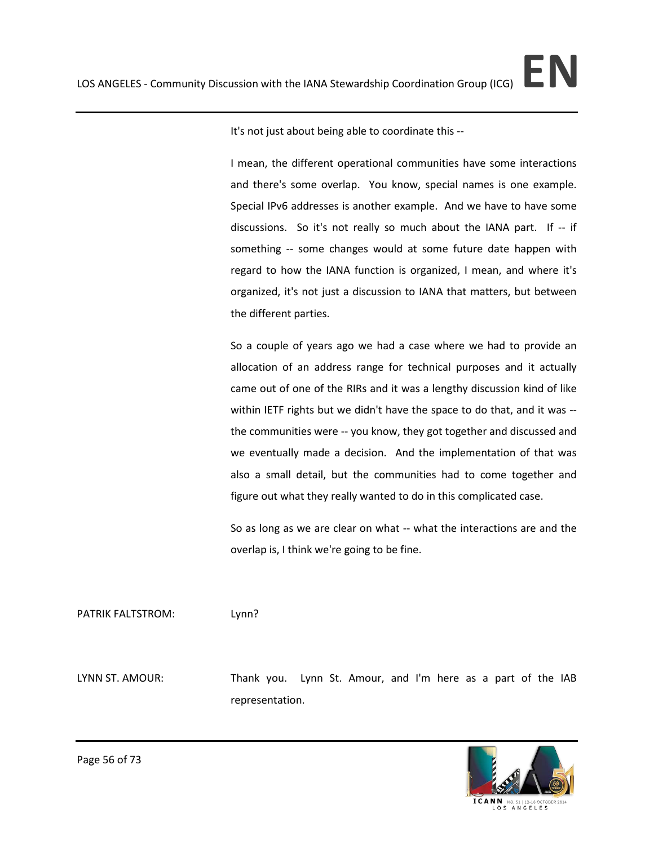It's not just about being able to coordinate this --

I mean, the different operational communities have some interactions and there's some overlap. You know, special names is one example. Special IPv6 addresses is another example. And we have to have some discussions. So it's not really so much about the IANA part. If -- if something -- some changes would at some future date happen with regard to how the IANA function is organized, I mean, and where it's organized, it's not just a discussion to IANA that matters, but between the different parties.

So a couple of years ago we had a case where we had to provide an allocation of an address range for technical purposes and it actually came out of one of the RIRs and it was a lengthy discussion kind of like within IETF rights but we didn't have the space to do that, and it was - the communities were -- you know, they got together and discussed and we eventually made a decision. And the implementation of that was also a small detail, but the communities had to come together and figure out what they really wanted to do in this complicated case.

So as long as we are clear on what -- what the interactions are and the overlap is, I think we're going to be fine.

PATRIK FALTSTROM: Lynn?

LYNN ST. AMOUR: Thank you. Lynn St. Amour, and I'm here as a part of the IAB representation.

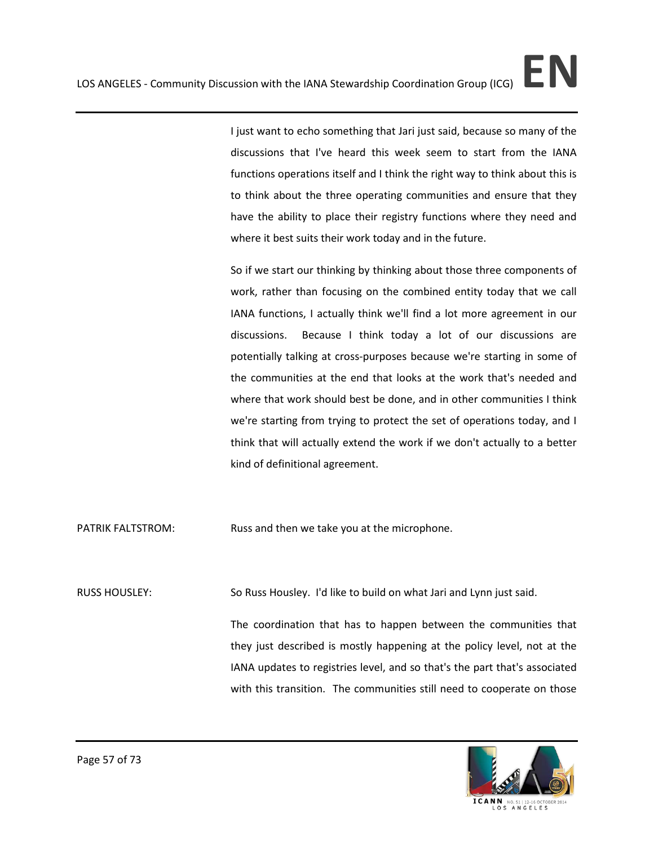I just want to echo something that Jari just said, because so many of the discussions that I've heard this week seem to start from the IANA functions operations itself and I think the right way to think about this is to think about the three operating communities and ensure that they have the ability to place their registry functions where they need and where it best suits their work today and in the future.

So if we start our thinking by thinking about those three components of work, rather than focusing on the combined entity today that we call IANA functions, I actually think we'll find a lot more agreement in our discussions. Because I think today a lot of our discussions are potentially talking at cross-purposes because we're starting in some of the communities at the end that looks at the work that's needed and where that work should best be done, and in other communities I think we're starting from trying to protect the set of operations today, and I think that will actually extend the work if we don't actually to a better kind of definitional agreement.

PATRIK FALTSTROM: Russ and then we take you at the microphone.

RUSS HOUSLEY: So Russ Housley. I'd like to build on what Jari and Lynn just said.

The coordination that has to happen between the communities that they just described is mostly happening at the policy level, not at the IANA updates to registries level, and so that's the part that's associated with this transition. The communities still need to cooperate on those

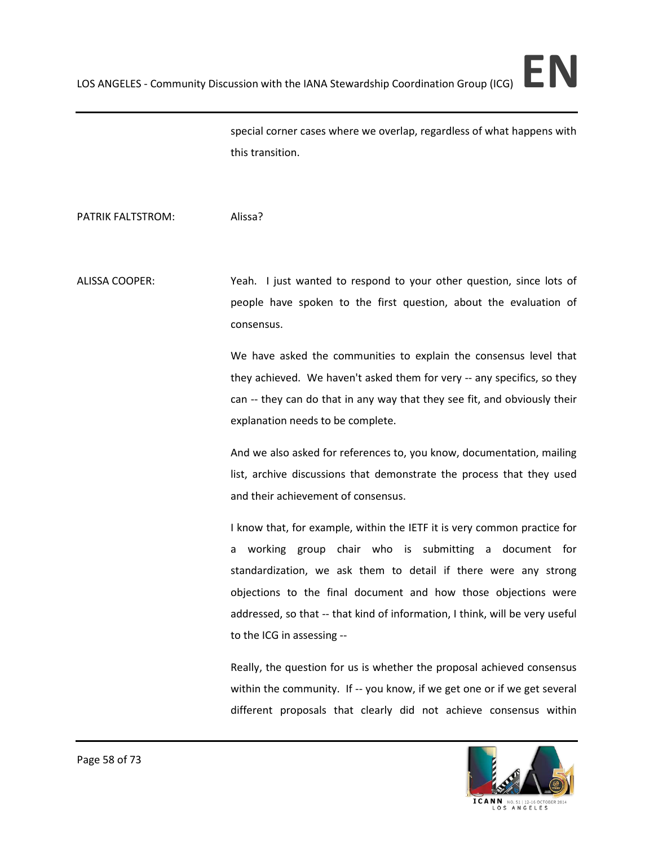special corner cases where we overlap, regardless of what happens with this transition.

PATRIK FALTSTROM: Alissa?

ALISSA COOPER: Yeah. I just wanted to respond to your other question, since lots of people have spoken to the first question, about the evaluation of consensus.

> We have asked the communities to explain the consensus level that they achieved. We haven't asked them for very -- any specifics, so they can -- they can do that in any way that they see fit, and obviously their explanation needs to be complete.

> And we also asked for references to, you know, documentation, mailing list, archive discussions that demonstrate the process that they used and their achievement of consensus.

> I know that, for example, within the IETF it is very common practice for a working group chair who is submitting a document for standardization, we ask them to detail if there were any strong objections to the final document and how those objections were addressed, so that -- that kind of information, I think, will be very useful to the ICG in assessing --

> Really, the question for us is whether the proposal achieved consensus within the community. If -- you know, if we get one or if we get several different proposals that clearly did not achieve consensus within

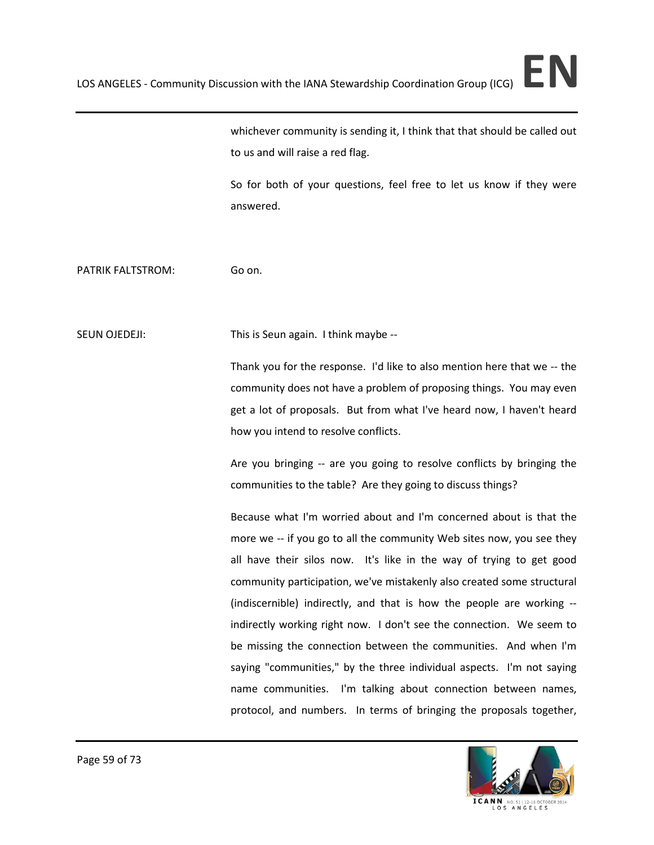whichever community is sending it, I think that that should be called out to us and will raise a red flag.

So for both of your questions, feel free to let us know if they were answered.

PATRIK FALTSTROM: Go on.

SEUN OJEDEJI: This is Seun again. I think maybe --

Thank you for the response. I'd like to also mention here that we -- the community does not have a problem of proposing things. You may even get a lot of proposals. But from what I've heard now, I haven't heard how you intend to resolve conflicts.

Are you bringing -- are you going to resolve conflicts by bringing the communities to the table? Are they going to discuss things?

Because what I'm worried about and I'm concerned about is that the more we -- if you go to all the community Web sites now, you see they all have their silos now. It's like in the way of trying to get good community participation, we've mistakenly also created some structural (indiscernible) indirectly, and that is how the people are working - indirectly working right now. I don't see the connection. We seem to be missing the connection between the communities. And when I'm saying "communities," by the three individual aspects. I'm not saying name communities. I'm talking about connection between names, protocol, and numbers. In terms of bringing the proposals together,



ICANN NO. 51 | 12-16 OCTO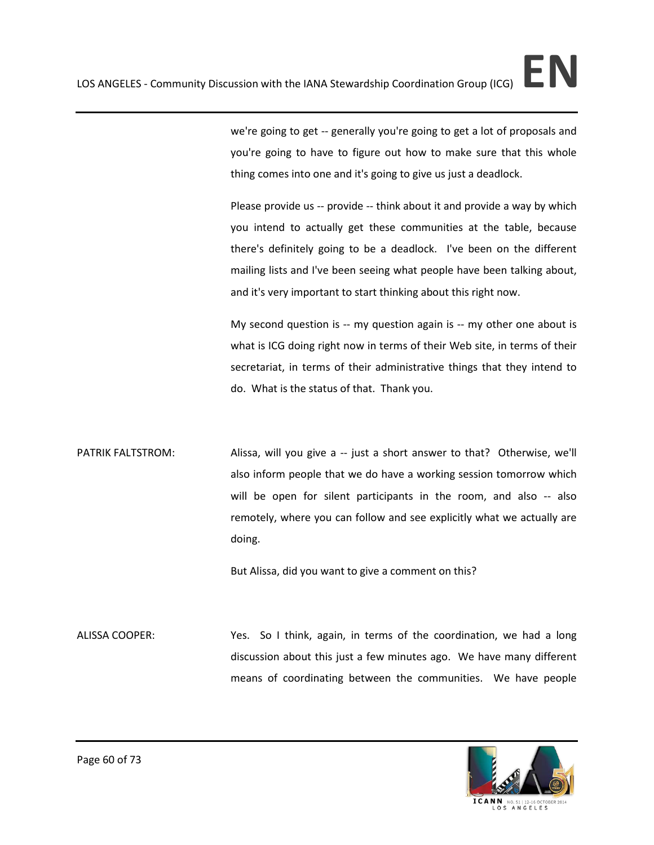we're going to get -- generally you're going to get a lot of proposals and you're going to have to figure out how to make sure that this whole thing comes into one and it's going to give us just a deadlock.

Please provide us -- provide -- think about it and provide a way by which you intend to actually get these communities at the table, because there's definitely going to be a deadlock. I've been on the different mailing lists and I've been seeing what people have been talking about, and it's very important to start thinking about this right now.

My second question is -- my question again is -- my other one about is what is ICG doing right now in terms of their Web site, in terms of their secretariat, in terms of their administrative things that they intend to do. What is the status of that. Thank you.

PATRIK FALTSTROM: Alissa, will you give a -- just a short answer to that? Otherwise, we'll also inform people that we do have a working session tomorrow which will be open for silent participants in the room, and also -- also remotely, where you can follow and see explicitly what we actually are doing.

But Alissa, did you want to give a comment on this?

ALISSA COOPER: Yes. So I think, again, in terms of the coordination, we had a long discussion about this just a few minutes ago. We have many different means of coordinating between the communities. We have people

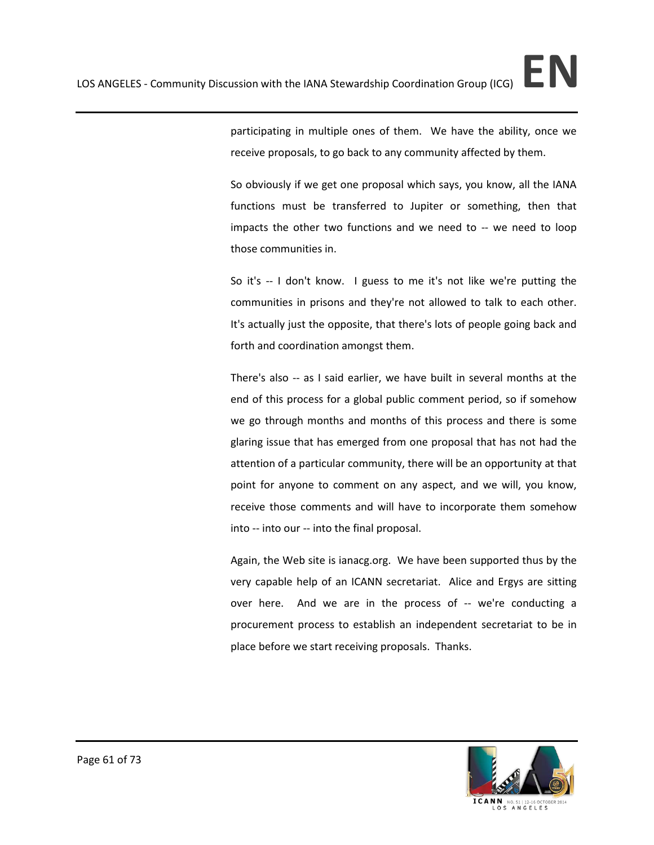So obviously if we get one proposal which says, you know, all the IANA functions must be transferred to Jupiter or something, then that impacts the other two functions and we need to -- we need to loop those communities in.

So it's -- I don't know. I guess to me it's not like we're putting the communities in prisons and they're not allowed to talk to each other. It's actually just the opposite, that there's lots of people going back and forth and coordination amongst them.

There's also -- as I said earlier, we have built in several months at the end of this process for a global public comment period, so if somehow we go through months and months of this process and there is some glaring issue that has emerged from one proposal that has not had the attention of a particular community, there will be an opportunity at that point for anyone to comment on any aspect, and we will, you know, receive those comments and will have to incorporate them somehow into -- into our -- into the final proposal.

Again, the Web site is ianacg.org. We have been supported thus by the very capable help of an ICANN secretariat. Alice and Ergys are sitting over here. And we are in the process of -- we're conducting a procurement process to establish an independent secretariat to be in place before we start receiving proposals. Thanks.

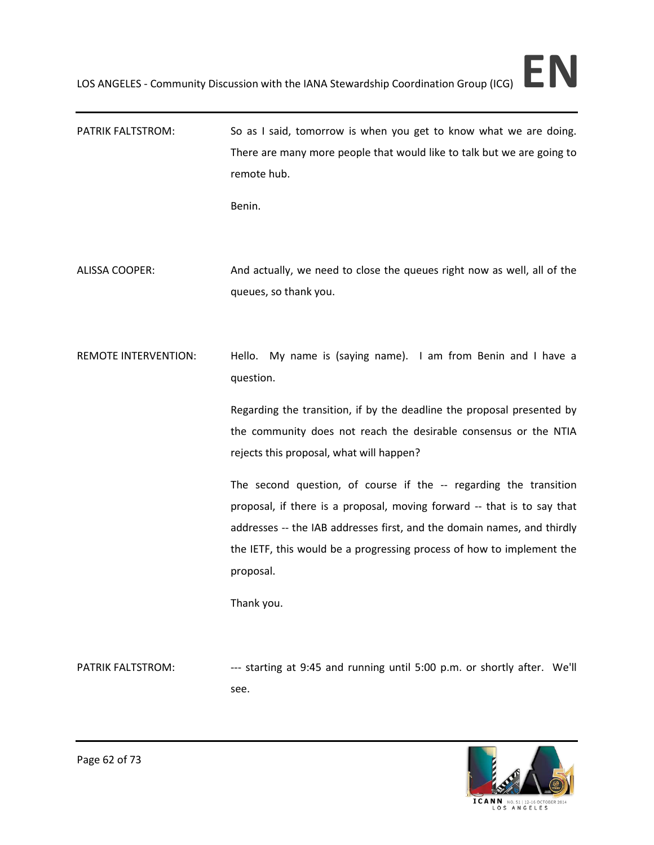PATRIK FALTSTROM: So as I said, tomorrow is when you get to know what we are doing. There are many more people that would like to talk but we are going to remote hub.

Benin.

ALISSA COOPER: And actually, we need to close the queues right now as well, all of the queues, so thank you.

REMOTE INTERVENTION: Hello. My name is (saying name). I am from Benin and I have a question.

> Regarding the transition, if by the deadline the proposal presented by the community does not reach the desirable consensus or the NTIA rejects this proposal, what will happen?

> The second question, of course if the -- regarding the transition proposal, if there is a proposal, moving forward -- that is to say that addresses -- the IAB addresses first, and the domain names, and thirdly the IETF, this would be a progressing process of how to implement the proposal.

Thank you.

PATRIK FALTSTROM: ---- starting at 9:45 and running until 5:00 p.m. or shortly after. We'll see.

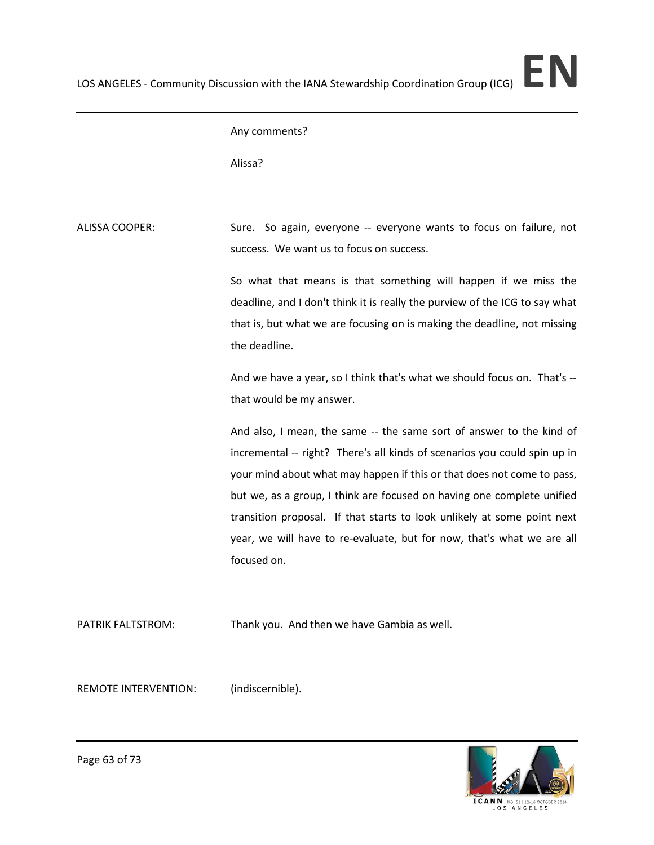## Any comments?

Alissa?

ALISSA COOPER: Sure. So again, everyone -- everyone wants to focus on failure, not success. We want us to focus on success.

> So what that means is that something will happen if we miss the deadline, and I don't think it is really the purview of the ICG to say what that is, but what we are focusing on is making the deadline, not missing the deadline.

> And we have a year, so I think that's what we should focus on. That's - that would be my answer.

> And also, I mean, the same -- the same sort of answer to the kind of incremental -- right? There's all kinds of scenarios you could spin up in your mind about what may happen if this or that does not come to pass, but we, as a group, I think are focused on having one complete unified transition proposal. If that starts to look unlikely at some point next year, we will have to re-evaluate, but for now, that's what we are all focused on.

PATRIK FALTSTROM: Thank you. And then we have Gambia as well.

REMOTE INTERVENTION: (indiscernible).

ICANN NO.51|12-16 OCTO

Page 63 of 73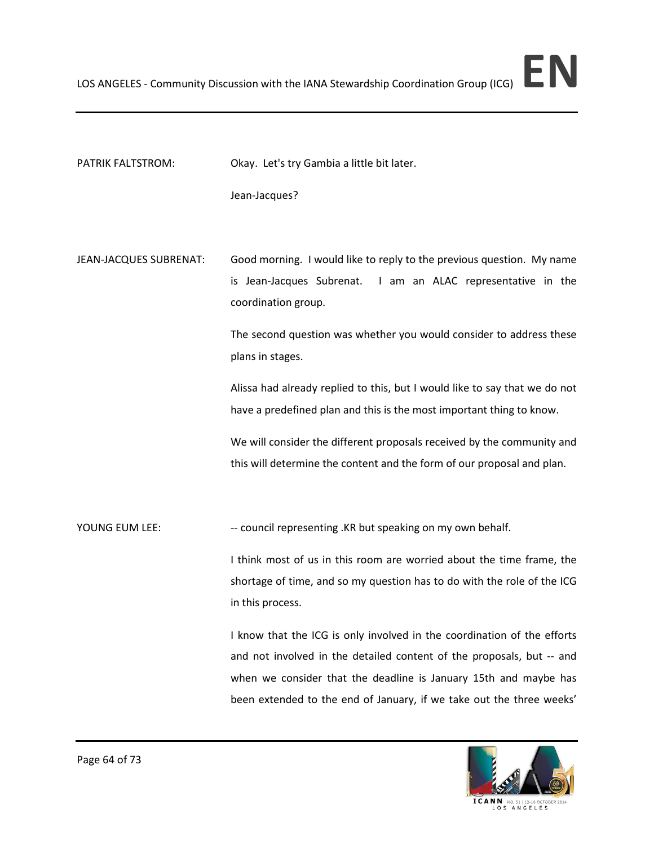PATRIK FALTSTROM: Okay. Let's try Gambia a little bit later.

Jean-Jacques?

JEAN-JACQUES SUBRENAT: Good morning. I would like to reply to the previous question. My name is Jean-Jacques Subrenat. I am an ALAC representative in the coordination group.

> The second question was whether you would consider to address these plans in stages.

> Alissa had already replied to this, but I would like to say that we do not have a predefined plan and this is the most important thing to know.

> We will consider the different proposals received by the community and this will determine the content and the form of our proposal and plan.

YOUNG EUM LEE: --- council representing .KR but speaking on my own behalf.

I think most of us in this room are worried about the time frame, the shortage of time, and so my question has to do with the role of the ICG in this process.

I know that the ICG is only involved in the coordination of the efforts and not involved in the detailed content of the proposals, but -- and when we consider that the deadline is January 15th and maybe has been extended to the end of January, if we take out the three weeks'

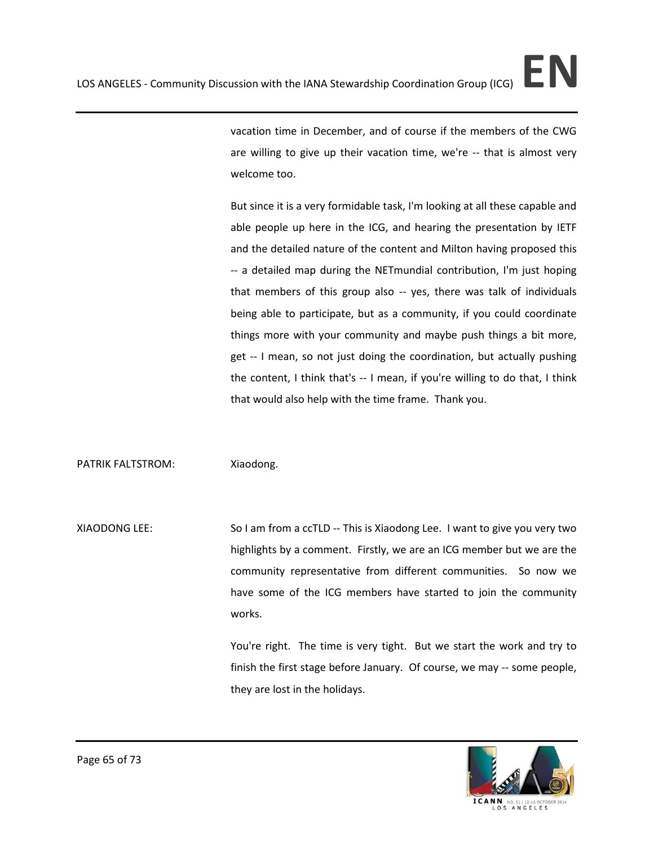vacation time in December, and of course if the members of the CWG are willing to give up their vacation time, we're -- that is almost very welcome too.

But since it is a very formidable task, I'm looking at all these capable and able people up here in the ICG, and hearing the presentation by IETF and the detailed nature of the content and Milton having proposed this -- a detailed map during the NETmundial contribution, I'm just hoping that members of this group also -- yes, there was talk of individuals being able to participate, but as a community, if you could coordinate things more with your community and maybe push things a bit more, get -- I mean, so not just doing the coordination, but actually pushing the content, I think that's -- I mean, if you're willing to do that, I think that would also help with the time frame. Thank you.

PATRIK FALTSTROM: Xiaodong.

XIAODONG LEE: So I am from a ccTLD -- This is Xiaodong Lee. I want to give you very two highlights by a comment. Firstly, we are an ICG member but we are the community representative from different communities. So now we have some of the ICG members have started to join the community works.

> You're right. The time is very tight. But we start the work and try to finish the first stage before January. Of course, we may -- some people, they are lost in the holidays.

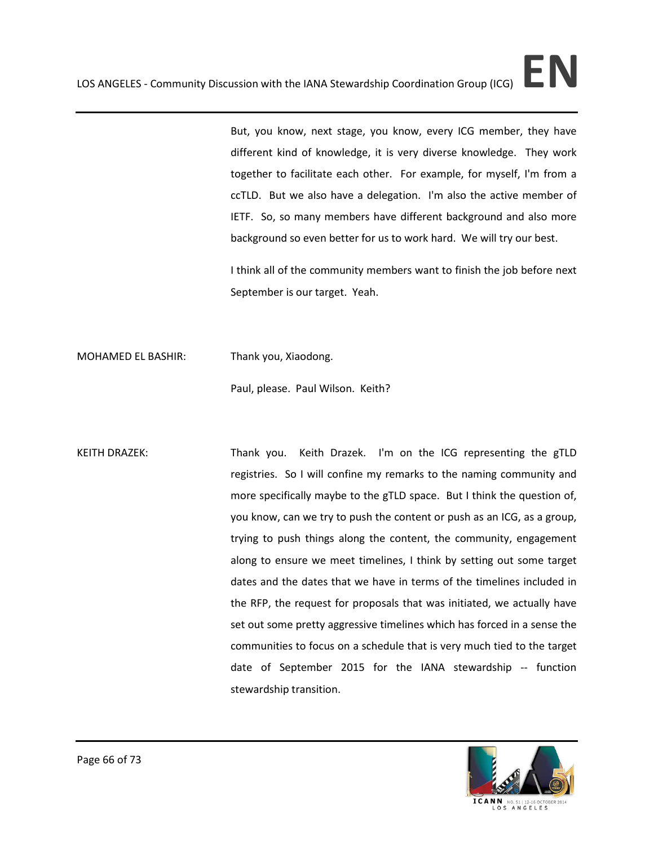But, you know, next stage, you know, every ICG member, they have different kind of knowledge, it is very diverse knowledge. They work together to facilitate each other. For example, for myself, I'm from a ccTLD. But we also have a delegation. I'm also the active member of IETF. So, so many members have different background and also more background so even better for us to work hard. We will try our best.

I think all of the community members want to finish the job before next September is our target. Yeah.

MOHAMED EL BASHIR: Thank you, Xiaodong.

Paul, please. Paul Wilson. Keith?

KEITH DRAZEK: Thank you. Keith Drazek. I'm on the ICG representing the gTLD registries. So I will confine my remarks to the naming community and more specifically maybe to the gTLD space. But I think the question of, you know, can we try to push the content or push as an ICG, as a group, trying to push things along the content, the community, engagement along to ensure we meet timelines, I think by setting out some target dates and the dates that we have in terms of the timelines included in the RFP, the request for proposals that was initiated, we actually have set out some pretty aggressive timelines which has forced in a sense the communities to focus on a schedule that is very much tied to the target date of September 2015 for the IANA stewardship -- function stewardship transition.

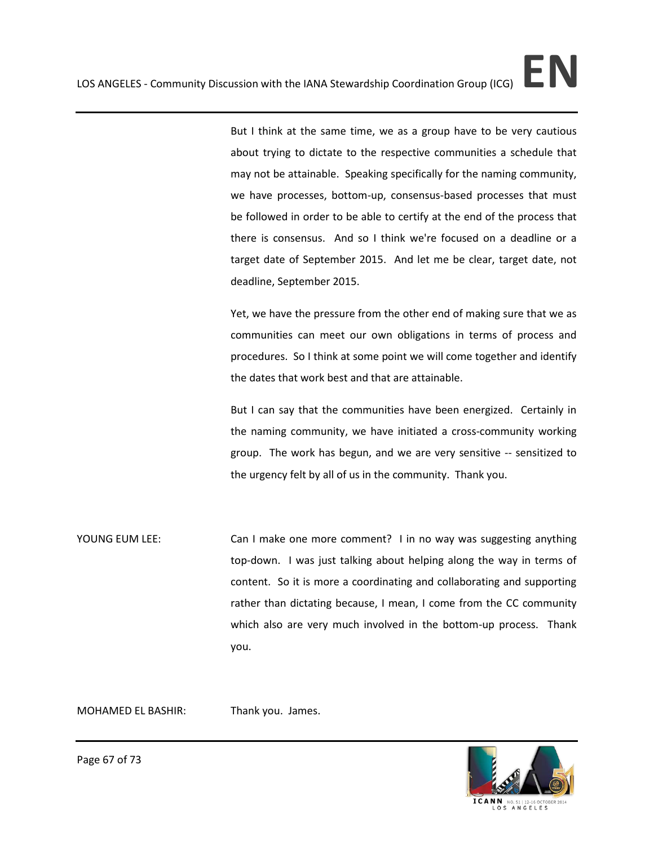But I think at the same time, we as a group have to be very cautious about trying to dictate to the respective communities a schedule that may not be attainable. Speaking specifically for the naming community, we have processes, bottom-up, consensus-based processes that must be followed in order to be able to certify at the end of the process that there is consensus. And so I think we're focused on a deadline or a target date of September 2015. And let me be clear, target date, not deadline, September 2015.

Yet, we have the pressure from the other end of making sure that we as communities can meet our own obligations in terms of process and procedures. So I think at some point we will come together and identify the dates that work best and that are attainable.

But I can say that the communities have been energized. Certainly in the naming community, we have initiated a cross-community working group. The work has begun, and we are very sensitive -- sensitized to the urgency felt by all of us in the community. Thank you.

YOUNG EUM LEE: Can I make one more comment? I in no way was suggesting anything top-down. I was just talking about helping along the way in terms of content. So it is more a coordinating and collaborating and supporting rather than dictating because, I mean, I come from the CC community which also are very much involved in the bottom-up process. Thank you.

MOHAMED EL BASHIR: Thank you. James.



Page 67 of 73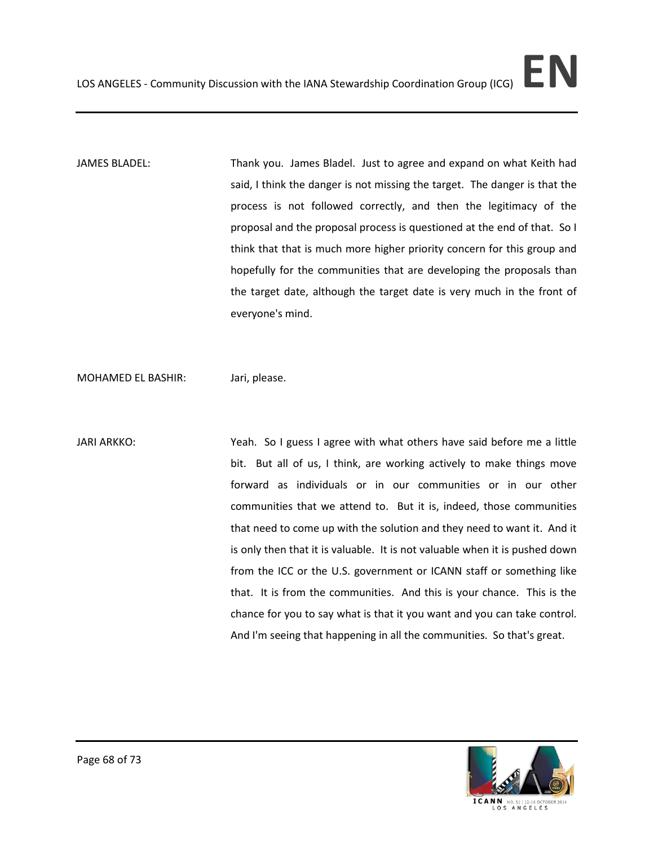JAMES BLADEL: Thank you. James Bladel. Just to agree and expand on what Keith had said, I think the danger is not missing the target. The danger is that the process is not followed correctly, and then the legitimacy of the proposal and the proposal process is questioned at the end of that. So I think that that is much more higher priority concern for this group and hopefully for the communities that are developing the proposals than the target date, although the target date is very much in the front of everyone's mind.

MOHAMED EL BASHIR: Jari, please.

JARI ARKKO: Yeah. So I guess I agree with what others have said before me a little bit. But all of us, I think, are working actively to make things move forward as individuals or in our communities or in our other communities that we attend to. But it is, indeed, those communities that need to come up with the solution and they need to want it. And it is only then that it is valuable. It is not valuable when it is pushed down from the ICC or the U.S. government or ICANN staff or something like that. It is from the communities. And this is your chance. This is the chance for you to say what is that it you want and you can take control. And I'm seeing that happening in all the communities. So that's great.

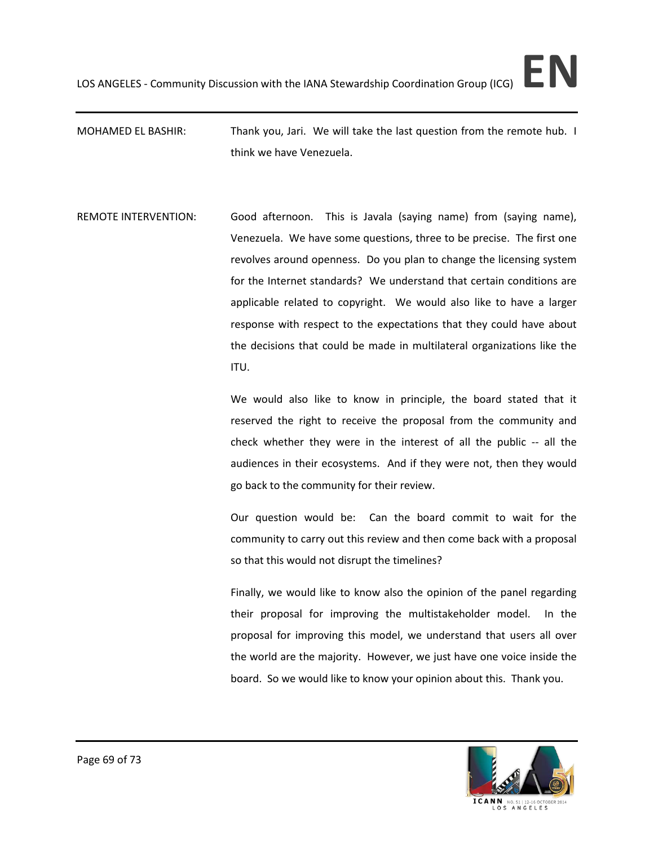MOHAMED EL BASHIR: Thank you, Jari. We will take the last question from the remote hub. I think we have Venezuela.

REMOTE INTERVENTION: Good afternoon. This is Javala (saying name) from (saying name), Venezuela. We have some questions, three to be precise. The first one revolves around openness. Do you plan to change the licensing system for the Internet standards? We understand that certain conditions are applicable related to copyright. We would also like to have a larger response with respect to the expectations that they could have about the decisions that could be made in multilateral organizations like the ITU.

> We would also like to know in principle, the board stated that it reserved the right to receive the proposal from the community and check whether they were in the interest of all the public -- all the audiences in their ecosystems. And if they were not, then they would go back to the community for their review.

> Our question would be: Can the board commit to wait for the community to carry out this review and then come back with a proposal so that this would not disrupt the timelines?

> Finally, we would like to know also the opinion of the panel regarding their proposal for improving the multistakeholder model. In the proposal for improving this model, we understand that users all over the world are the majority. However, we just have one voice inside the board. So we would like to know your opinion about this. Thank you.

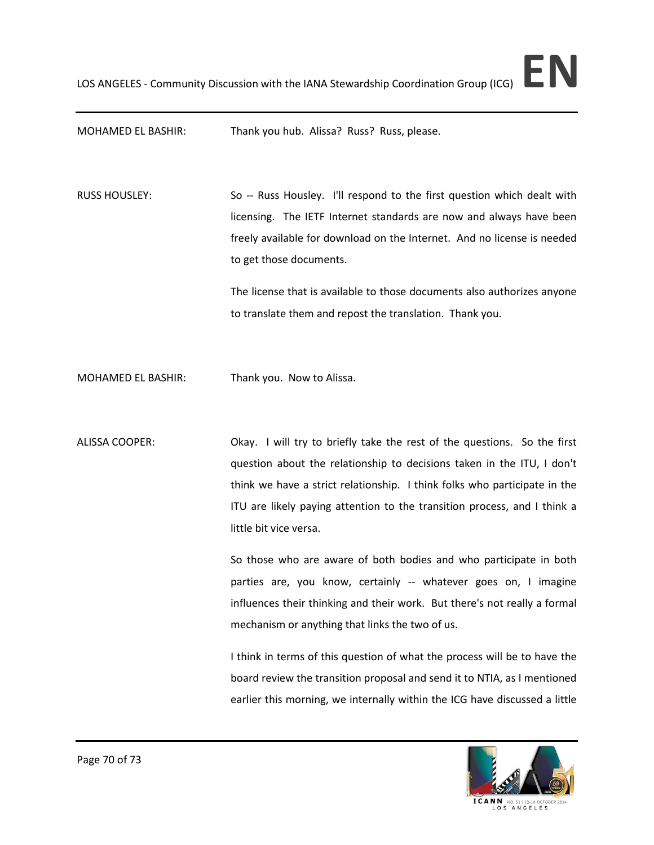MOHAMED EL BASHIR: Thank you hub. Alissa? Russ? Russ, please.

RUSS HOUSLEY: So -- Russ Housley. I'll respond to the first question which dealt with licensing. The IETF Internet standards are now and always have been freely available for download on the Internet. And no license is needed to get those documents.

> The license that is available to those documents also authorizes anyone to translate them and repost the translation. Thank you.

MOHAMED EL BASHIR: Thank you. Now to Alissa.

ALISSA COOPER: Okay. I will try to briefly take the rest of the questions. So the first question about the relationship to decisions taken in the ITU, I don't think we have a strict relationship. I think folks who participate in the ITU are likely paying attention to the transition process, and I think a little bit vice versa.

> So those who are aware of both bodies and who participate in both parties are, you know, certainly -- whatever goes on, I imagine influences their thinking and their work. But there's not really a formal mechanism or anything that links the two of us.

> I think in terms of this question of what the process will be to have the board review the transition proposal and send it to NTIA, as I mentioned earlier this morning, we internally within the ICG have discussed a little

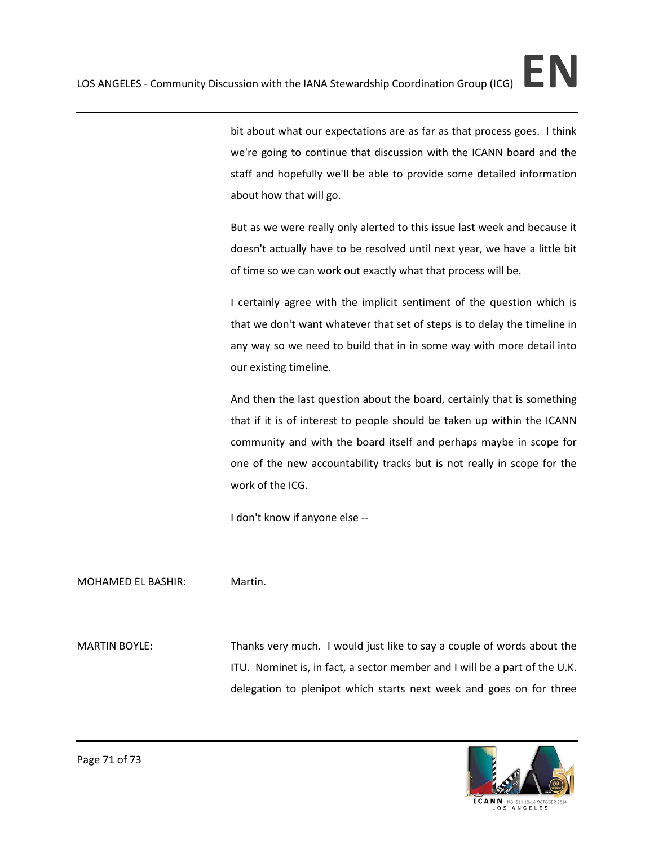bit about what our expectations are as far as that process goes. I think we're going to continue that discussion with the ICANN board and the staff and hopefully we'll be able to provide some detailed information about how that will go.

But as we were really only alerted to this issue last week and because it doesn't actually have to be resolved until next year, we have a little bit of time so we can work out exactly what that process will be.

I certainly agree with the implicit sentiment of the question which is that we don't want whatever that set of steps is to delay the timeline in any way so we need to build that in in some way with more detail into our existing timeline.

And then the last question about the board, certainly that is something that if it is of interest to people should be taken up within the ICANN community and with the board itself and perhaps maybe in scope for one of the new accountability tracks but is not really in scope for the work of the ICG.

I don't know if anyone else --

MOHAMED EL BASHIR: Martin.

MARTIN BOYLE: Thanks very much. I would just like to say a couple of words about the ITU. Nominet is, in fact, a sector member and I will be a part of the U.K. delegation to plenipot which starts next week and goes on for three

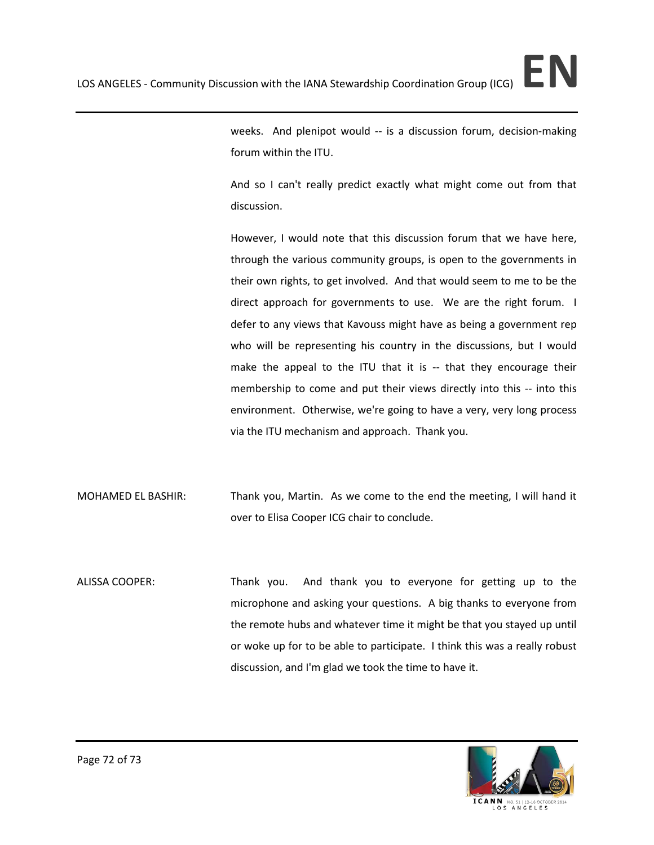weeks. And plenipot would -- is a discussion forum, decision-making forum within the ITU.

And so I can't really predict exactly what might come out from that discussion.

However, I would note that this discussion forum that we have here, through the various community groups, is open to the governments in their own rights, to get involved. And that would seem to me to be the direct approach for governments to use. We are the right forum. I defer to any views that Kavouss might have as being a government rep who will be representing his country in the discussions, but I would make the appeal to the ITU that it is -- that they encourage their membership to come and put their views directly into this -- into this environment. Otherwise, we're going to have a very, very long process via the ITU mechanism and approach. Thank you.

- MOHAMED EL BASHIR: Thank you, Martin. As we come to the end the meeting, I will hand it over to Elisa Cooper ICG chair to conclude.
- ALISSA COOPER: Thank you. And thank you to everyone for getting up to the microphone and asking your questions. A big thanks to everyone from the remote hubs and whatever time it might be that you stayed up until or woke up for to be able to participate. I think this was a really robust discussion, and I'm glad we took the time to have it.